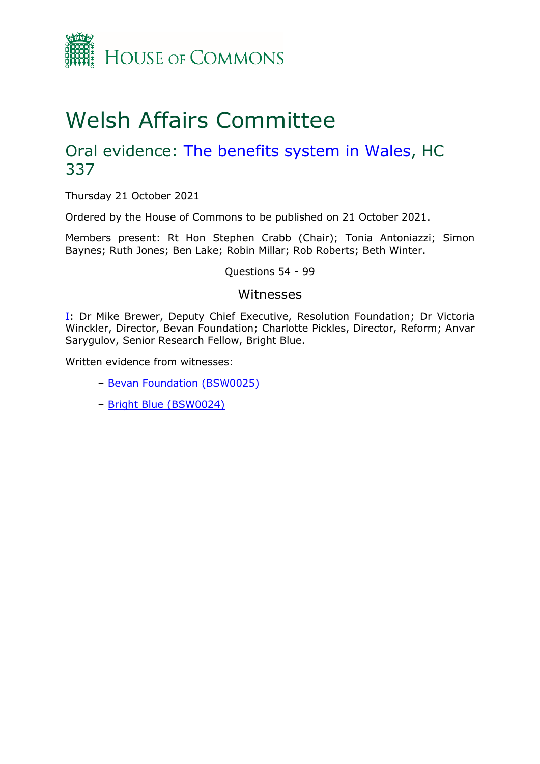

# Welsh Affairs Committee

## Oral evidence: [The benefits](https://committees.parliament.uk/work/1291/the-benefits-system-in-wales/) system in Wales, HC 337

Thursday 21 October 2021

Ordered by the House of Commons to be published on 21 October 2021.

Members present: Rt Hon Stephen Crabb (Chair); Tonia Antoniazzi; Simon Baynes; Ruth Jones; Ben Lake; Robin Millar; Rob Roberts; Beth Winter.

Questions 54 - 99

## Witnesses

[I:](#page-1-0) Dr Mike Brewer, Deputy Chief Executive, Resolution Foundation; Dr Victoria Winckler, Director, Bevan Foundation; Charlotte Pickles, Director, Reform; Anvar Sarygulov, Senior Research Fellow, Bright Blue.

Written evidence from witnesses:

- [Bevan Foundation \(BSW0025\)](https://committees.parliament.uk/writtenevidence/38102/pdf/)
- [Bright Blue \(BSW0024\)](https://committees.parliament.uk/writtenevidence/38101/pdf/)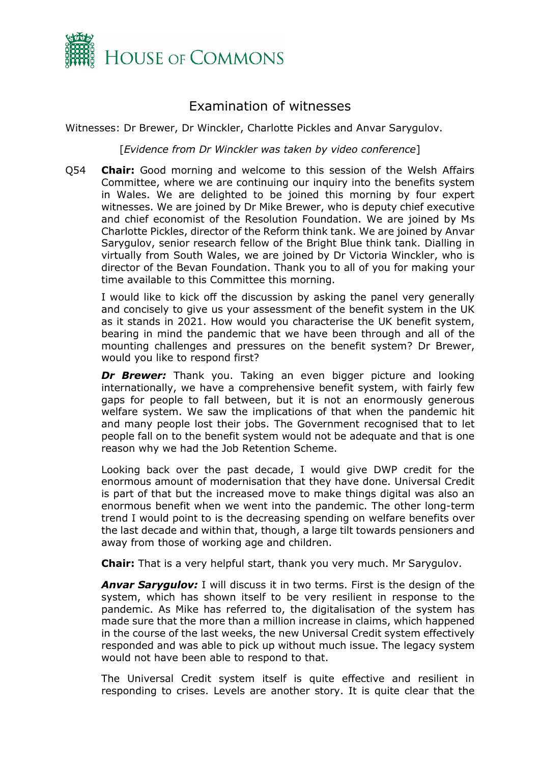

## Examination of witnesses

<span id="page-1-0"></span>Witnesses: Dr Brewer, Dr Winckler, Charlotte Pickles and Anvar Sarygulov.

[*Evidence from Dr Winckler was taken by video conference*]

Q54 **Chair:** Good morning and welcome to this session of the Welsh Affairs Committee, where we are continuing our inquiry into the benefits system in Wales. We are delighted to be joined this morning by four expert witnesses. We are joined by Dr Mike Brewer, who is deputy chief executive and chief economist of the Resolution Foundation. We are joined by Ms Charlotte Pickles, director of the Reform think tank. We are joined by Anvar Sarygulov, senior research fellow of the Bright Blue think tank. Dialling in virtually from South Wales, we are joined by Dr Victoria Winckler, who is director of the Bevan Foundation. Thank you to all of you for making your time available to this Committee this morning.

I would like to kick off the discussion by asking the panel very generally and concisely to give us your assessment of the benefit system in the UK as it stands in 2021. How would you characterise the UK benefit system, bearing in mind the pandemic that we have been through and all of the mounting challenges and pressures on the benefit system? Dr Brewer, would you like to respond first?

*Dr Brewer:* Thank you. Taking an even bigger picture and looking internationally, we have a comprehensive benefit system, with fairly few gaps for people to fall between, but it is not an enormously generous welfare system. We saw the implications of that when the pandemic hit and many people lost their jobs. The Government recognised that to let people fall on to the benefit system would not be adequate and that is one reason why we had the Job Retention Scheme.

Looking back over the past decade, I would give DWP credit for the enormous amount of modernisation that they have done. Universal Credit is part of that but the increased move to make things digital was also an enormous benefit when we went into the pandemic. The other long-term trend I would point to is the decreasing spending on welfare benefits over the last decade and within that, though, a large tilt towards pensioners and away from those of working age and children.

**Chair:** That is a very helpful start, thank you very much. Mr Sarygulov.

*Anvar Sarygulov:* I will discuss it in two terms. First is the design of the system, which has shown itself to be very resilient in response to the pandemic. As Mike has referred to, the digitalisation of the system has made sure that the more than a million increase in claims, which happened in the course of the last weeks, the new Universal Credit system effectively responded and was able to pick up without much issue. The legacy system would not have been able to respond to that.

The Universal Credit system itself is quite effective and resilient in responding to crises. Levels are another story. It is quite clear that the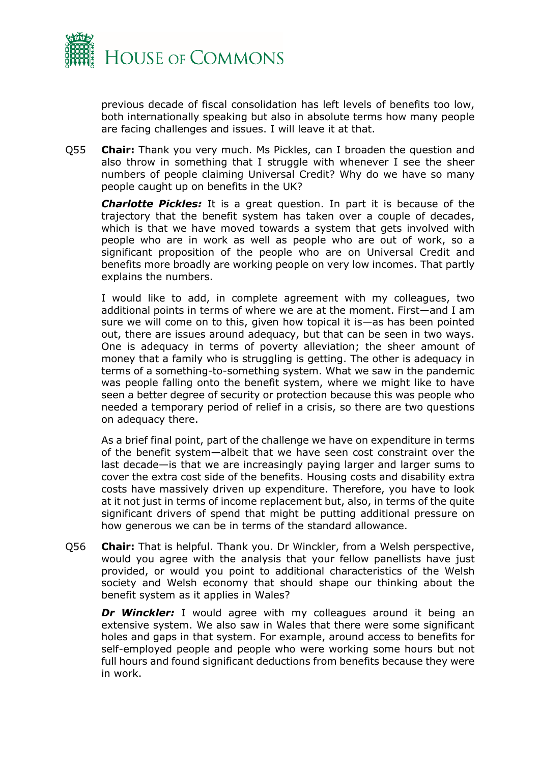

previous decade of fiscal consolidation has left levels of benefits too low, both internationally speaking but also in absolute terms how many people are facing challenges and issues. I will leave it at that.

Q55 **Chair:** Thank you very much. Ms Pickles, can I broaden the question and also throw in something that I struggle with whenever I see the sheer numbers of people claiming Universal Credit? Why do we have so many people caught up on benefits in the UK?

*Charlotte Pickles:* It is a great question. In part it is because of the trajectory that the benefit system has taken over a couple of decades, which is that we have moved towards a system that gets involved with people who are in work as well as people who are out of work, so a significant proposition of the people who are on Universal Credit and benefits more broadly are working people on very low incomes. That partly explains the numbers.

I would like to add, in complete agreement with my colleagues, two additional points in terms of where we are at the moment. First—and I am sure we will come on to this, given how topical it is—as has been pointed out, there are issues around adequacy, but that can be seen in two ways. One is adequacy in terms of poverty alleviation; the sheer amount of money that a family who is struggling is getting. The other is adequacy in terms of a something-to-something system. What we saw in the pandemic was people falling onto the benefit system, where we might like to have seen a better degree of security or protection because this was people who needed a temporary period of relief in a crisis, so there are two questions on adequacy there.

As a brief final point, part of the challenge we have on expenditure in terms of the benefit system—albeit that we have seen cost constraint over the last decade—is that we are increasingly paying larger and larger sums to cover the extra cost side of the benefits. Housing costs and disability extra costs have massively driven up expenditure. Therefore, you have to look at it not just in terms of income replacement but, also, in terms of the quite significant drivers of spend that might be putting additional pressure on how generous we can be in terms of the standard allowance.

Q56 **Chair:** That is helpful. Thank you. Dr Winckler, from a Welsh perspective, would you agree with the analysis that your fellow panellists have just provided, or would you point to additional characteristics of the Welsh society and Welsh economy that should shape our thinking about the benefit system as it applies in Wales?

*Dr Winckler:* I would agree with my colleagues around it being an extensive system. We also saw in Wales that there were some significant holes and gaps in that system. For example, around access to benefits for self-employed people and people who were working some hours but not full hours and found significant deductions from benefits because they were in work.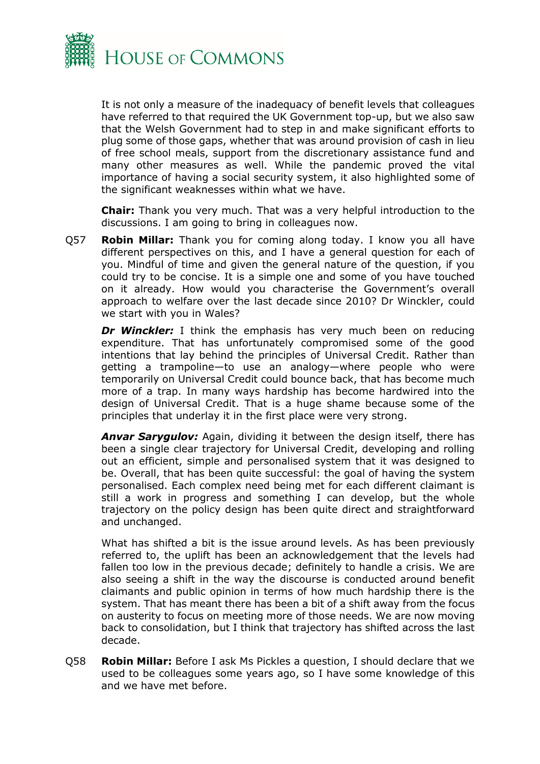

It is not only a measure of the inadequacy of benefit levels that colleagues have referred to that required the UK Government top-up, but we also saw that the Welsh Government had to step in and make significant efforts to plug some of those gaps, whether that was around provision of cash in lieu of free school meals, support from the discretionary assistance fund and many other measures as well. While the pandemic proved the vital importance of having a social security system, it also highlighted some of the significant weaknesses within what we have.

**Chair:** Thank you very much. That was a very helpful introduction to the discussions. I am going to bring in colleagues now.

Q57 **Robin Millar:** Thank you for coming along today. I know you all have different perspectives on this, and I have a general question for each of you. Mindful of time and given the general nature of the question, if you could try to be concise. It is a simple one and some of you have touched on it already. How would you characterise the Government's overall approach to welfare over the last decade since 2010? Dr Winckler, could we start with you in Wales?

**Dr Winckler:** I think the emphasis has very much been on reducing expenditure. That has unfortunately compromised some of the good intentions that lay behind the principles of Universal Credit. Rather than getting a trampoline—to use an analogy—where people who were temporarily on Universal Credit could bounce back, that has become much more of a trap. In many ways hardship has become hardwired into the design of Universal Credit. That is a huge shame because some of the principles that underlay it in the first place were very strong.

*Anvar Sarygulov:* Again, dividing it between the design itself, there has been a single clear trajectory for Universal Credit, developing and rolling out an efficient, simple and personalised system that it was designed to be. Overall, that has been quite successful: the goal of having the system personalised. Each complex need being met for each different claimant is still a work in progress and something I can develop, but the whole trajectory on the policy design has been quite direct and straightforward and unchanged.

What has shifted a bit is the issue around levels. As has been previously referred to, the uplift has been an acknowledgement that the levels had fallen too low in the previous decade; definitely to handle a crisis. We are also seeing a shift in the way the discourse is conducted around benefit claimants and public opinion in terms of how much hardship there is the system. That has meant there has been a bit of a shift away from the focus on austerity to focus on meeting more of those needs. We are now moving back to consolidation, but I think that trajectory has shifted across the last decade.

Q58 **Robin Millar:** Before I ask Ms Pickles a question, I should declare that we used to be colleagues some years ago, so I have some knowledge of this and we have met before.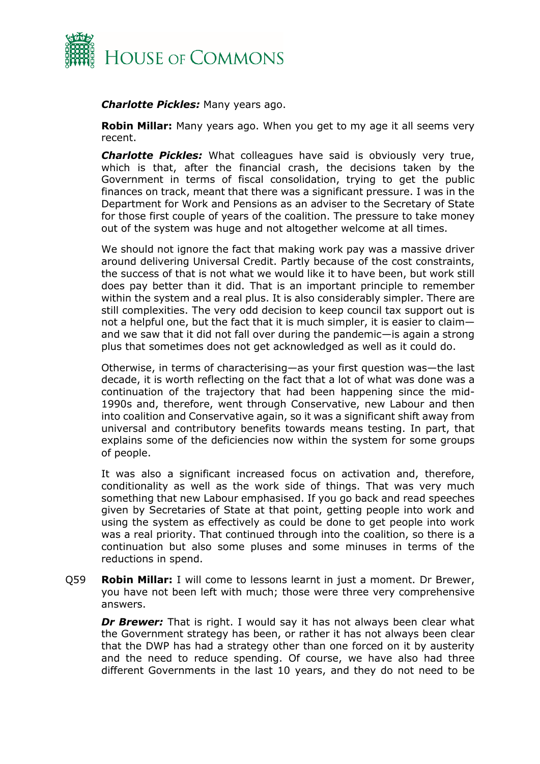

## *Charlotte Pickles:* Many years ago.

**Robin Millar:** Many years ago. When you get to my age it all seems very recent.

*Charlotte Pickles:* What colleagues have said is obviously very true, which is that, after the financial crash, the decisions taken by the Government in terms of fiscal consolidation, trying to get the public finances on track, meant that there was a significant pressure. I was in the Department for Work and Pensions as an adviser to the Secretary of State for those first couple of years of the coalition. The pressure to take money out of the system was huge and not altogether welcome at all times.

We should not ignore the fact that making work pay was a massive driver around delivering Universal Credit. Partly because of the cost constraints, the success of that is not what we would like it to have been, but work still does pay better than it did. That is an important principle to remember within the system and a real plus. It is also considerably simpler. There are still complexities. The very odd decision to keep council tax support out is not a helpful one, but the fact that it is much simpler, it is easier to claim and we saw that it did not fall over during the pandemic—is again a strong plus that sometimes does not get acknowledged as well as it could do.

Otherwise, in terms of characterising—as your first question was—the last decade, it is worth reflecting on the fact that a lot of what was done was a continuation of the trajectory that had been happening since the mid-1990s and, therefore, went through Conservative, new Labour and then into coalition and Conservative again, so it was a significant shift away from universal and contributory benefits towards means testing. In part, that explains some of the deficiencies now within the system for some groups of people.

It was also a significant increased focus on activation and, therefore, conditionality as well as the work side of things. That was very much something that new Labour emphasised. If you go back and read speeches given by Secretaries of State at that point, getting people into work and using the system as effectively as could be done to get people into work was a real priority. That continued through into the coalition, so there is a continuation but also some pluses and some minuses in terms of the reductions in spend.

Q59 **Robin Millar:** I will come to lessons learnt in just a moment. Dr Brewer, you have not been left with much; those were three very comprehensive answers.

**Dr Brewer:** That is right. I would say it has not always been clear what the Government strategy has been, or rather it has not always been clear that the DWP has had a strategy other than one forced on it by austerity and the need to reduce spending. Of course, we have also had three different Governments in the last 10 years, and they do not need to be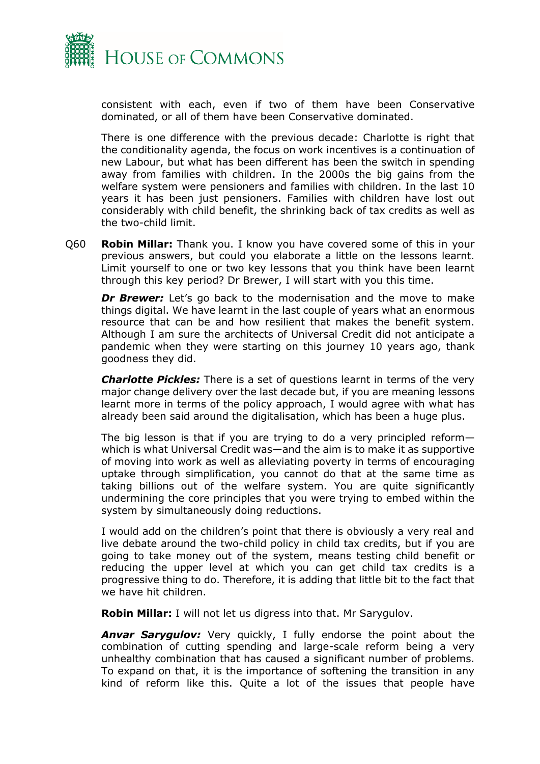

consistent with each, even if two of them have been Conservative dominated, or all of them have been Conservative dominated.

There is one difference with the previous decade: Charlotte is right that the conditionality agenda, the focus on work incentives is a continuation of new Labour, but what has been different has been the switch in spending away from families with children. In the 2000s the big gains from the welfare system were pensioners and families with children. In the last 10 years it has been just pensioners. Families with children have lost out considerably with child benefit, the shrinking back of tax credits as well as the two-child limit.

Q60 **Robin Millar:** Thank you. I know you have covered some of this in your previous answers, but could you elaborate a little on the lessons learnt. Limit yourself to one or two key lessons that you think have been learnt through this key period? Dr Brewer, I will start with you this time.

*Dr Brewer:* Let's go back to the modernisation and the move to make things digital. We have learnt in the last couple of years what an enormous resource that can be and how resilient that makes the benefit system. Although I am sure the architects of Universal Credit did not anticipate a pandemic when they were starting on this journey 10 years ago, thank goodness they did.

*Charlotte Pickles:* There is a set of questions learnt in terms of the very major change delivery over the last decade but, if you are meaning lessons learnt more in terms of the policy approach, I would agree with what has already been said around the digitalisation, which has been a huge plus.

The big lesson is that if you are trying to do a very principled reform which is what Universal Credit was—and the aim is to make it as supportive of moving into work as well as alleviating poverty in terms of encouraging uptake through simplification, you cannot do that at the same time as taking billions out of the welfare system. You are quite significantly undermining the core principles that you were trying to embed within the system by simultaneously doing reductions.

I would add on the children's point that there is obviously a very real and live debate around the two-child policy in child tax credits, but if you are going to take money out of the system, means testing child benefit or reducing the upper level at which you can get child tax credits is a progressive thing to do. Therefore, it is adding that little bit to the fact that we have hit children.

**Robin Millar:** I will not let us digress into that. Mr Sarygulov.

**Anvar Sarygulov:** Very quickly, I fully endorse the point about the combination of cutting spending and large-scale reform being a very unhealthy combination that has caused a significant number of problems. To expand on that, it is the importance of softening the transition in any kind of reform like this. Quite a lot of the issues that people have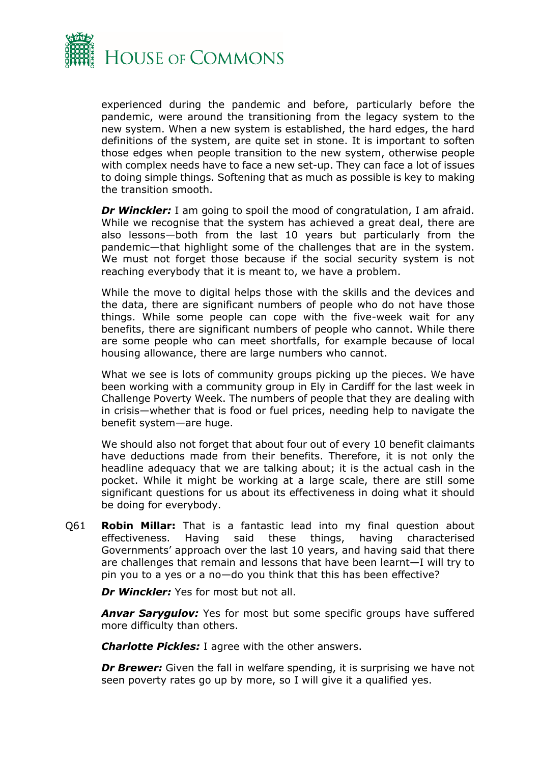

experienced during the pandemic and before, particularly before the pandemic, were around the transitioning from the legacy system to the new system. When a new system is established, the hard edges, the hard definitions of the system, are quite set in stone. It is important to soften those edges when people transition to the new system, otherwise people with complex needs have to face a new set-up. They can face a lot of issues to doing simple things. Softening that as much as possible is key to making the transition smooth.

*Dr Winckler:* I am going to spoil the mood of congratulation, I am afraid. While we recognise that the system has achieved a great deal, there are also lessons—both from the last 10 years but particularly from the pandemic—that highlight some of the challenges that are in the system. We must not forget those because if the social security system is not reaching everybody that it is meant to, we have a problem.

While the move to digital helps those with the skills and the devices and the data, there are significant numbers of people who do not have those things. While some people can cope with the five-week wait for any benefits, there are significant numbers of people who cannot. While there are some people who can meet shortfalls, for example because of local housing allowance, there are large numbers who cannot.

What we see is lots of community groups picking up the pieces. We have been working with a community group in Ely in Cardiff for the last week in Challenge Poverty Week. The numbers of people that they are dealing with in crisis—whether that is food or fuel prices, needing help to navigate the benefit system—are huge.

We should also not forget that about four out of every 10 benefit claimants have deductions made from their benefits. Therefore, it is not only the headline adequacy that we are talking about; it is the actual cash in the pocket. While it might be working at a large scale, there are still some significant questions for us about its effectiveness in doing what it should be doing for everybody.

Q61 **Robin Millar:** That is a fantastic lead into my final question about effectiveness. Having said these things, having characterised Governments' approach over the last 10 years, and having said that there are challenges that remain and lessons that have been learnt—I will try to pin you to a yes or a no—do you think that this has been effective?

*Dr Winckler:* Yes for most but not all.

*Anvar Sarygulov:* Yes for most but some specific groups have suffered more difficulty than others.

*Charlotte Pickles:* I agree with the other answers.

*Dr Brewer:* Given the fall in welfare spending, it is surprising we have not seen poverty rates go up by more, so I will give it a qualified yes.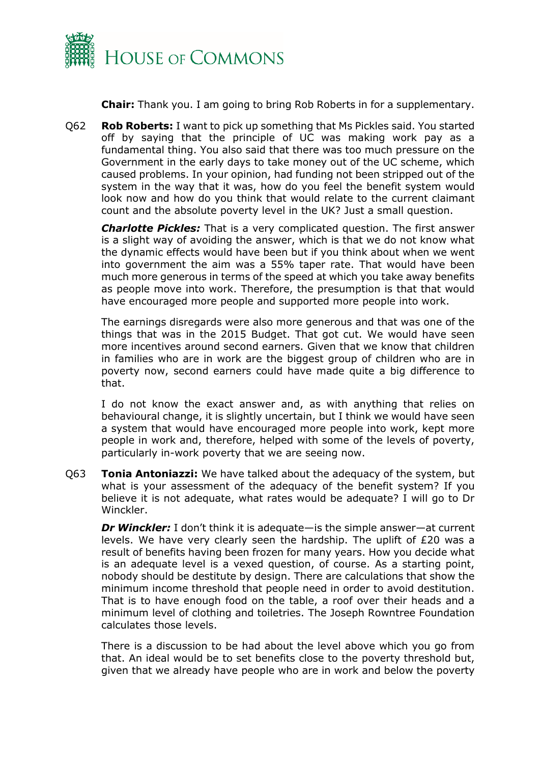

**Chair:** Thank you. I am going to bring Rob Roberts in for a supplementary.

Q62 **Rob Roberts:** I want to pick up something that Ms Pickles said. You started off by saying that the principle of UC was making work pay as a fundamental thing. You also said that there was too much pressure on the Government in the early days to take money out of the UC scheme, which caused problems. In your opinion, had funding not been stripped out of the system in the way that it was, how do you feel the benefit system would look now and how do you think that would relate to the current claimant count and the absolute poverty level in the UK? Just a small question.

*Charlotte Pickles:* That is a very complicated question. The first answer is a slight way of avoiding the answer, which is that we do not know what the dynamic effects would have been but if you think about when we went into government the aim was a 55% taper rate. That would have been much more generous in terms of the speed at which you take away benefits as people move into work. Therefore, the presumption is that that would have encouraged more people and supported more people into work.

The earnings disregards were also more generous and that was one of the things that was in the 2015 Budget. That got cut. We would have seen more incentives around second earners. Given that we know that children in families who are in work are the biggest group of children who are in poverty now, second earners could have made quite a big difference to that.

I do not know the exact answer and, as with anything that relies on behavioural change, it is slightly uncertain, but I think we would have seen a system that would have encouraged more people into work, kept more people in work and, therefore, helped with some of the levels of poverty, particularly in-work poverty that we are seeing now.

Q63 **Tonia Antoniazzi:** We have talked about the adequacy of the system, but what is your assessment of the adequacy of the benefit system? If you believe it is not adequate, what rates would be adequate? I will go to Dr Winckler.

*Dr Winckler:* I don't think it is adequate—is the simple answer—at current levels. We have very clearly seen the hardship. The uplift of £20 was a result of benefits having been frozen for many years. How you decide what is an adequate level is a vexed question, of course. As a starting point, nobody should be destitute by design. There are calculations that show the minimum income threshold that people need in order to avoid destitution. That is to have enough food on the table, a roof over their heads and a minimum level of clothing and toiletries. The Joseph Rowntree Foundation calculates those levels.

There is a discussion to be had about the level above which you go from that. An ideal would be to set benefits close to the poverty threshold but, given that we already have people who are in work and below the poverty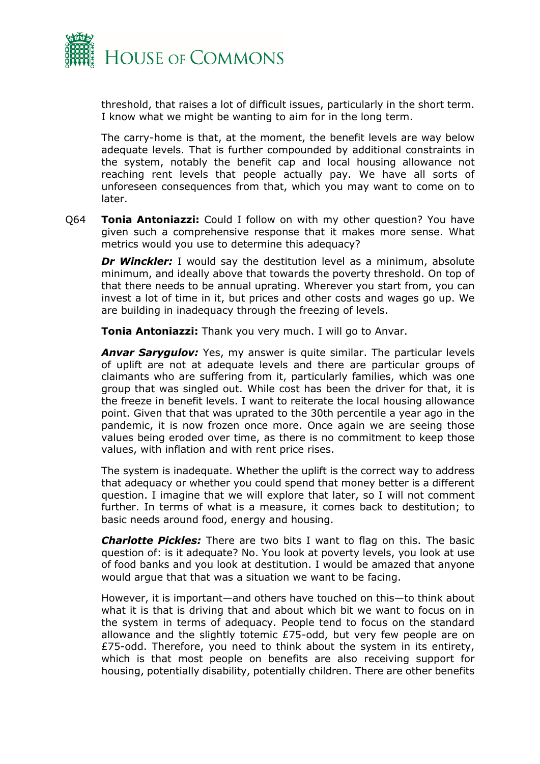

threshold, that raises a lot of difficult issues, particularly in the short term. I know what we might be wanting to aim for in the long term.

The carry-home is that, at the moment, the benefit levels are way below adequate levels. That is further compounded by additional constraints in the system, notably the benefit cap and local housing allowance not reaching rent levels that people actually pay. We have all sorts of unforeseen consequences from that, which you may want to come on to later.

Q64 **Tonia Antoniazzi:** Could I follow on with my other question? You have given such a comprehensive response that it makes more sense. What metrics would you use to determine this adequacy?

**Dr Winckler:** I would say the destitution level as a minimum, absolute minimum, and ideally above that towards the poverty threshold. On top of that there needs to be annual uprating. Wherever you start from, you can invest a lot of time in it, but prices and other costs and wages go up. We are building in inadequacy through the freezing of levels.

**Tonia Antoniazzi:** Thank you very much. I will go to Anvar.

*Anvar Sarygulov:* Yes, my answer is quite similar. The particular levels of uplift are not at adequate levels and there are particular groups of claimants who are suffering from it, particularly families, which was one group that was singled out. While cost has been the driver for that, it is the freeze in benefit levels. I want to reiterate the local housing allowance point. Given that that was uprated to the 30th percentile a year ago in the pandemic, it is now frozen once more. Once again we are seeing those values being eroded over time, as there is no commitment to keep those values, with inflation and with rent price rises.

The system is inadequate. Whether the uplift is the correct way to address that adequacy or whether you could spend that money better is a different question. I imagine that we will explore that later, so I will not comment further. In terms of what is a measure, it comes back to destitution; to basic needs around food, energy and housing.

*Charlotte Pickles:* There are two bits I want to flag on this. The basic question of: is it adequate? No. You look at poverty levels, you look at use of food banks and you look at destitution. I would be amazed that anyone would argue that that was a situation we want to be facing.

However, it is important—and others have touched on this—to think about what it is that is driving that and about which bit we want to focus on in the system in terms of adequacy. People tend to focus on the standard allowance and the slightly totemic £75-odd, but very few people are on  $£75$ -odd. Therefore, you need to think about the system in its entirety, which is that most people on benefits are also receiving support for housing, potentially disability, potentially children. There are other benefits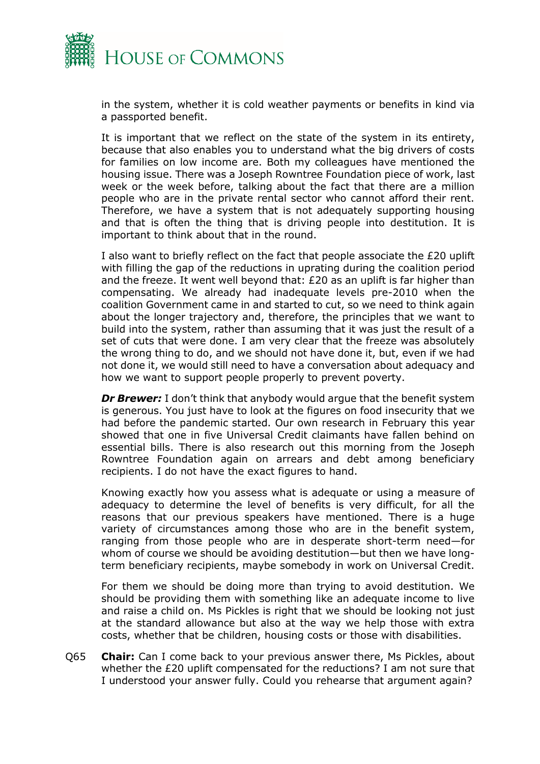

in the system, whether it is cold weather payments or benefits in kind via a passported benefit.

It is important that we reflect on the state of the system in its entirety, because that also enables you to understand what the big drivers of costs for families on low income are. Both my colleagues have mentioned the housing issue. There was a Joseph Rowntree Foundation piece of work, last week or the week before, talking about the fact that there are a million people who are in the private rental sector who cannot afford their rent. Therefore, we have a system that is not adequately supporting housing and that is often the thing that is driving people into destitution. It is important to think about that in the round.

I also want to briefly reflect on the fact that people associate the £20 uplift with filling the gap of the reductions in uprating during the coalition period and the freeze. It went well beyond that: £20 as an uplift is far higher than compensating. We already had inadequate levels pre-2010 when the coalition Government came in and started to cut, so we need to think again about the longer trajectory and, therefore, the principles that we want to build into the system, rather than assuming that it was just the result of a set of cuts that were done. I am very clear that the freeze was absolutely the wrong thing to do, and we should not have done it, but, even if we had not done it, we would still need to have a conversation about adequacy and how we want to support people properly to prevent poverty.

**Dr Brewer:** I don't think that anybody would argue that the benefit system is generous. You just have to look at the figures on food insecurity that we had before the pandemic started. Our own research in February this year showed that one in five Universal Credit claimants have fallen behind on essential bills. There is also research out this morning from the Joseph Rowntree Foundation again on arrears and debt among beneficiary recipients. I do not have the exact figures to hand.

Knowing exactly how you assess what is adequate or using a measure of adequacy to determine the level of benefits is very difficult, for all the reasons that our previous speakers have mentioned. There is a huge variety of circumstances among those who are in the benefit system, ranging from those people who are in desperate short-term need—for whom of course we should be avoiding destitution—but then we have longterm beneficiary recipients, maybe somebody in work on Universal Credit.

For them we should be doing more than trying to avoid destitution. We should be providing them with something like an adequate income to live and raise a child on. Ms Pickles is right that we should be looking not just at the standard allowance but also at the way we help those with extra costs, whether that be children, housing costs or those with disabilities.

Q65 **Chair:** Can I come back to your previous answer there, Ms Pickles, about whether the £20 uplift compensated for the reductions? I am not sure that I understood your answer fully. Could you rehearse that argument again?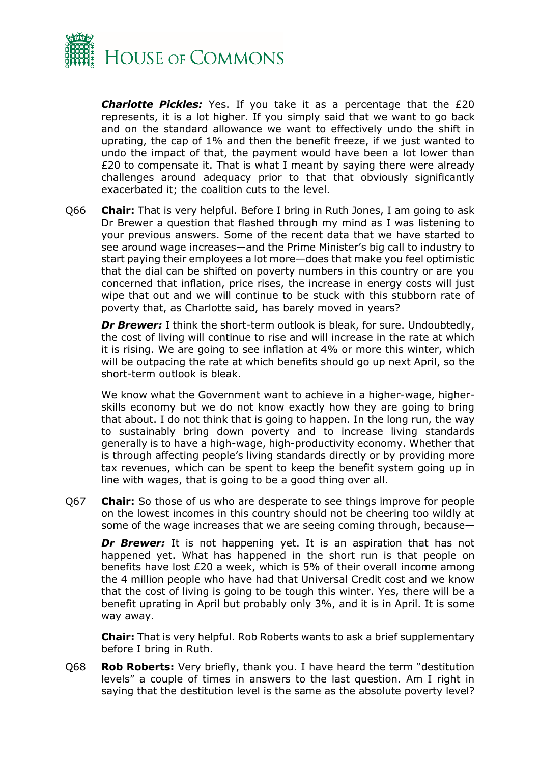

*Charlotte Pickles:* Yes. If you take it as a percentage that the £20 represents, it is a lot higher. If you simply said that we want to go back and on the standard allowance we want to effectively undo the shift in uprating, the cap of 1% and then the benefit freeze, if we just wanted to undo the impact of that, the payment would have been a lot lower than £20 to compensate it. That is what I meant by saying there were already challenges around adequacy prior to that that obviously significantly exacerbated it; the coalition cuts to the level.

Q66 **Chair:** That is very helpful. Before I bring in Ruth Jones, I am going to ask Dr Brewer a question that flashed through my mind as I was listening to your previous answers. Some of the recent data that we have started to see around wage increases—and the Prime Minister's big call to industry to start paying their employees a lot more—does that make you feel optimistic that the dial can be shifted on poverty numbers in this country or are you concerned that inflation, price rises, the increase in energy costs will just wipe that out and we will continue to be stuck with this stubborn rate of poverty that, as Charlotte said, has barely moved in years?

*Dr Brewer:* I think the short-term outlook is bleak, for sure. Undoubtedly, the cost of living will continue to rise and will increase in the rate at which it is rising. We are going to see inflation at 4% or more this winter, which will be outpacing the rate at which benefits should go up next April, so the short-term outlook is bleak.

We know what the Government want to achieve in a higher-wage, higherskills economy but we do not know exactly how they are going to bring that about. I do not think that is going to happen. In the long run, the way to sustainably bring down poverty and to increase living standards generally is to have a high-wage, high-productivity economy. Whether that is through affecting people's living standards directly or by providing more tax revenues, which can be spent to keep the benefit system going up in line with wages, that is going to be a good thing over all.

Q67 **Chair:** So those of us who are desperate to see things improve for people on the lowest incomes in this country should not be cheering too wildly at some of the wage increases that we are seeing coming through, because—

**Dr Brewer:** It is not happening yet. It is an aspiration that has not happened yet. What has happened in the short run is that people on benefits have lost £20 a week, which is 5% of their overall income among the 4 million people who have had that Universal Credit cost and we know that the cost of living is going to be tough this winter. Yes, there will be a benefit uprating in April but probably only 3%, and it is in April. It is some way away.

**Chair:** That is very helpful. Rob Roberts wants to ask a brief supplementary before I bring in Ruth.

Q68 **Rob Roberts:** Very briefly, thank you. I have heard the term "destitution levels" a couple of times in answers to the last question. Am I right in saying that the destitution level is the same as the absolute poverty level?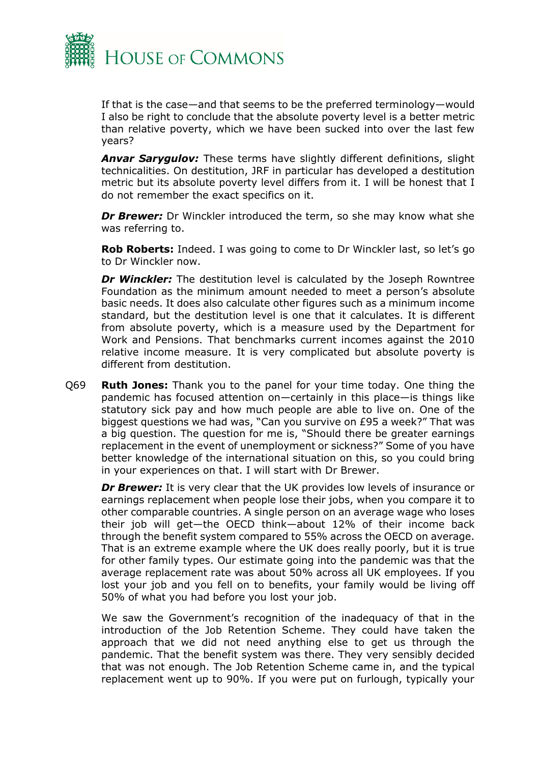

If that is the case—and that seems to be the preferred terminology—would I also be right to conclude that the absolute poverty level is a better metric than relative poverty, which we have been sucked into over the last few years?

*Anvar Sarygulov:* These terms have slightly different definitions, slight technicalities. On destitution, JRF in particular has developed a destitution metric but its absolute poverty level differs from it. I will be honest that I do not remember the exact specifics on it.

*Dr Brewer:* Dr Winckler introduced the term, so she may know what she was referring to.

**Rob Roberts:** Indeed. I was going to come to Dr Winckler last, so let's go to Dr Winckler now.

*Dr Winckler:* The destitution level is calculated by the Joseph Rowntree Foundation as the minimum amount needed to meet a person's absolute basic needs. It does also calculate other figures such as a minimum income standard, but the destitution level is one that it calculates. It is different from absolute poverty, which is a measure used by the Department for Work and Pensions. That benchmarks current incomes against the 2010 relative income measure. It is very complicated but absolute poverty is different from destitution.

Q69 **Ruth Jones:** Thank you to the panel for your time today. One thing the pandemic has focused attention on—certainly in this place—is things like statutory sick pay and how much people are able to live on. One of the biggest questions we had was, "Can you survive on £95 a week?" That was a big question. The question for me is, "Should there be greater earnings replacement in the event of unemployment or sickness?" Some of you have better knowledge of the international situation on this, so you could bring in your experiences on that. I will start with Dr Brewer.

*Dr Brewer:* It is very clear that the UK provides low levels of insurance or earnings replacement when people lose their jobs, when you compare it to other comparable countries. A single person on an average wage who loses their job will get—the OECD think—about 12% of their income back through the benefit system compared to 55% across the OECD on average. That is an extreme example where the UK does really poorly, but it is true for other family types. Our estimate going into the pandemic was that the average replacement rate was about 50% across all UK employees. If you lost your job and you fell on to benefits, your family would be living off 50% of what you had before you lost your job.

We saw the Government's recognition of the inadequacy of that in the introduction of the Job Retention Scheme. They could have taken the approach that we did not need anything else to get us through the pandemic. That the benefit system was there. They very sensibly decided that was not enough. The Job Retention Scheme came in, and the typical replacement went up to 90%. If you were put on furlough, typically your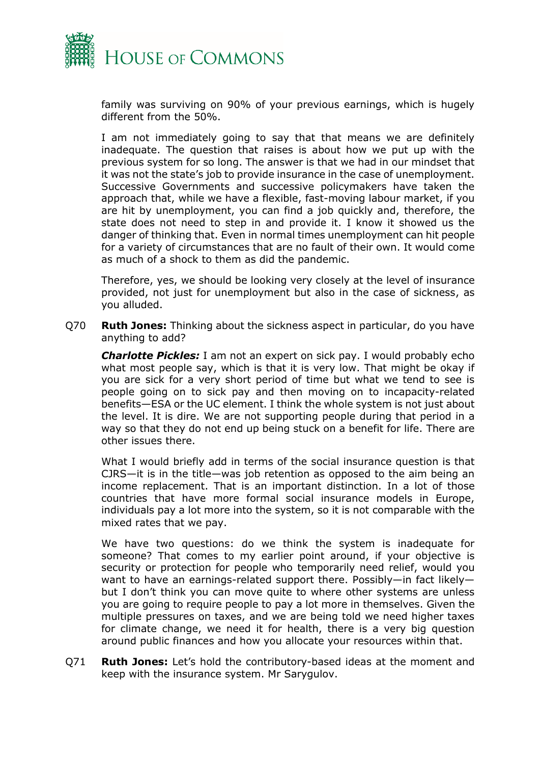

family was surviving on 90% of your previous earnings, which is hugely different from the 50%.

I am not immediately going to say that that means we are definitely inadequate. The question that raises is about how we put up with the previous system for so long. The answer is that we had in our mindset that it was not the state's job to provide insurance in the case of unemployment. Successive Governments and successive policymakers have taken the approach that, while we have a flexible, fast-moving labour market, if you are hit by unemployment, you can find a job quickly and, therefore, the state does not need to step in and provide it. I know it showed us the danger of thinking that. Even in normal times unemployment can hit people for a variety of circumstances that are no fault of their own. It would come as much of a shock to them as did the pandemic.

Therefore, yes, we should be looking very closely at the level of insurance provided, not just for unemployment but also in the case of sickness, as you alluded.

Q70 **Ruth Jones:** Thinking about the sickness aspect in particular, do you have anything to add?

*Charlotte Pickles:* I am not an expert on sick pay. I would probably echo what most people say, which is that it is very low. That might be okay if you are sick for a very short period of time but what we tend to see is people going on to sick pay and then moving on to incapacity-related benefits—ESA or the UC element. I think the whole system is not just about the level. It is dire. We are not supporting people during that period in a way so that they do not end up being stuck on a benefit for life. There are other issues there.

What I would briefly add in terms of the social insurance question is that CJRS—it is in the title—was job retention as opposed to the aim being an income replacement. That is an important distinction. In a lot of those countries that have more formal social insurance models in Europe, individuals pay a lot more into the system, so it is not comparable with the mixed rates that we pay.

We have two questions: do we think the system is inadequate for someone? That comes to my earlier point around, if your objective is security or protection for people who temporarily need relief, would you want to have an earnings-related support there. Possibly—in fact likely but I don't think you can move quite to where other systems are unless you are going to require people to pay a lot more in themselves. Given the multiple pressures on taxes, and we are being told we need higher taxes for climate change, we need it for health, there is a very big question around public finances and how you allocate your resources within that.

Q71 **Ruth Jones:** Let's hold the contributory-based ideas at the moment and keep with the insurance system. Mr Sarygulov.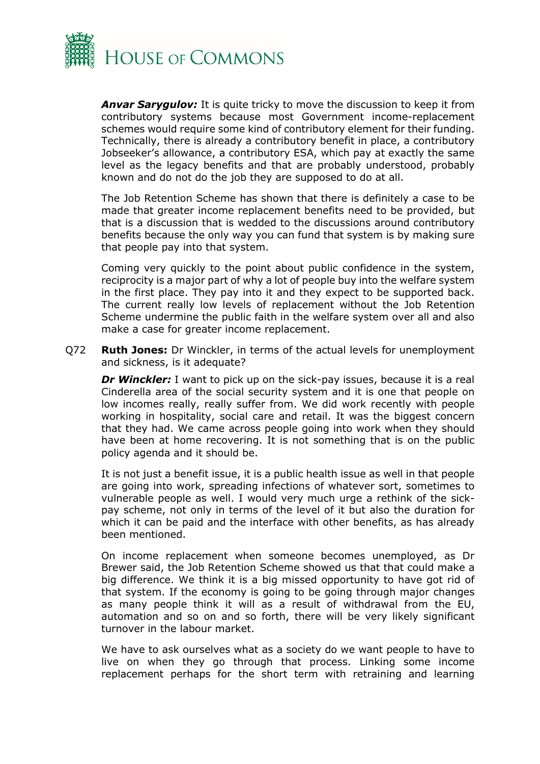

*Anvar Sarygulov:* It is quite tricky to move the discussion to keep it from contributory systems because most Government income-replacement schemes would require some kind of contributory element for their funding. Technically, there is already a contributory benefit in place, a contributory Jobseeker's allowance, a contributory ESA, which pay at exactly the same level as the legacy benefits and that are probably understood, probably known and do not do the job they are supposed to do at all.

The Job Retention Scheme has shown that there is definitely a case to be made that greater income replacement benefits need to be provided, but that is a discussion that is wedded to the discussions around contributory benefits because the only way you can fund that system is by making sure that people pay into that system.

Coming very quickly to the point about public confidence in the system, reciprocity is a major part of why a lot of people buy into the welfare system in the first place. They pay into it and they expect to be supported back. The current really low levels of replacement without the Job Retention Scheme undermine the public faith in the welfare system over all and also make a case for greater income replacement.

Q72 **Ruth Jones:** Dr Winckler, in terms of the actual levels for unemployment and sickness, is it adequate?

**Dr Winckler:** I want to pick up on the sick-pay issues, because it is a real Cinderella area of the social security system and it is one that people on low incomes really, really suffer from. We did work recently with people working in hospitality, social care and retail. It was the biggest concern that they had. We came across people going into work when they should have been at home recovering. It is not something that is on the public policy agenda and it should be.

It is not just a benefit issue, it is a public health issue as well in that people are going into work, spreading infections of whatever sort, sometimes to vulnerable people as well. I would very much urge a rethink of the sickpay scheme, not only in terms of the level of it but also the duration for which it can be paid and the interface with other benefits, as has already been mentioned.

On income replacement when someone becomes unemployed, as Dr Brewer said, the Job Retention Scheme showed us that that could make a big difference. We think it is a big missed opportunity to have got rid of that system. If the economy is going to be going through major changes as many people think it will as a result of withdrawal from the EU, automation and so on and so forth, there will be very likely significant turnover in the labour market.

We have to ask ourselves what as a society do we want people to have to live on when they go through that process. Linking some income replacement perhaps for the short term with retraining and learning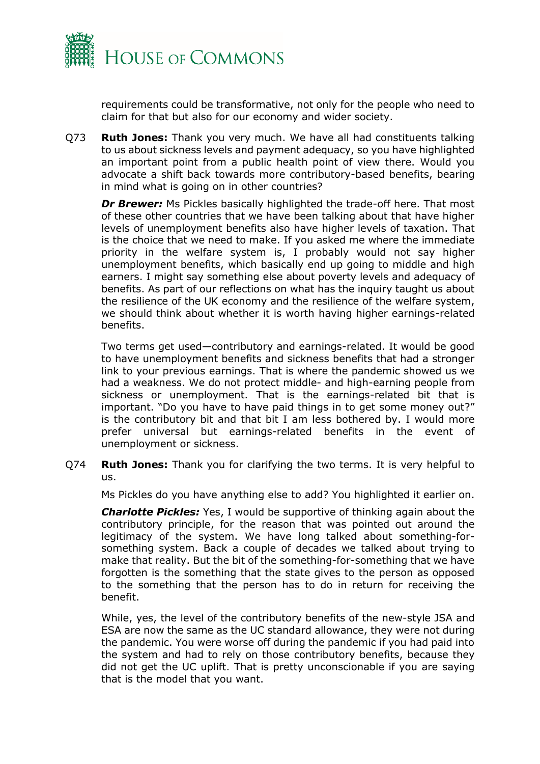

requirements could be transformative, not only for the people who need to claim for that but also for our economy and wider society.

Q73 **Ruth Jones:** Thank you very much. We have all had constituents talking to us about sickness levels and payment adequacy, so you have highlighted an important point from a public health point of view there. Would you advocate a shift back towards more contributory-based benefits, bearing in mind what is going on in other countries?

**Dr Brewer:** Ms Pickles basically highlighted the trade-off here. That most of these other countries that we have been talking about that have higher levels of unemployment benefits also have higher levels of taxation. That is the choice that we need to make. If you asked me where the immediate priority in the welfare system is, I probably would not say higher unemployment benefits, which basically end up going to middle and high earners. I might say something else about poverty levels and adequacy of benefits. As part of our reflections on what has the inquiry taught us about the resilience of the UK economy and the resilience of the welfare system, we should think about whether it is worth having higher earnings-related benefits.

Two terms get used—contributory and earnings-related. It would be good to have unemployment benefits and sickness benefits that had a stronger link to your previous earnings. That is where the pandemic showed us we had a weakness. We do not protect middle- and high-earning people from sickness or unemployment. That is the earnings-related bit that is important. "Do you have to have paid things in to get some money out?" is the contributory bit and that bit I am less bothered by. I would more prefer universal but earnings-related benefits in the event of unemployment or sickness.

Q74 **Ruth Jones:** Thank you for clarifying the two terms. It is very helpful to us.

Ms Pickles do you have anything else to add? You highlighted it earlier on.

*Charlotte Pickles:* Yes, I would be supportive of thinking again about the contributory principle, for the reason that was pointed out around the legitimacy of the system. We have long talked about something-forsomething system. Back a couple of decades we talked about trying to make that reality. But the bit of the something-for-something that we have forgotten is the something that the state gives to the person as opposed to the something that the person has to do in return for receiving the benefit.

While, yes, the level of the contributory benefits of the new-style JSA and ESA are now the same as the UC standard allowance, they were not during the pandemic. You were worse off during the pandemic if you had paid into the system and had to rely on those contributory benefits, because they did not get the UC uplift. That is pretty unconscionable if you are saying that is the model that you want.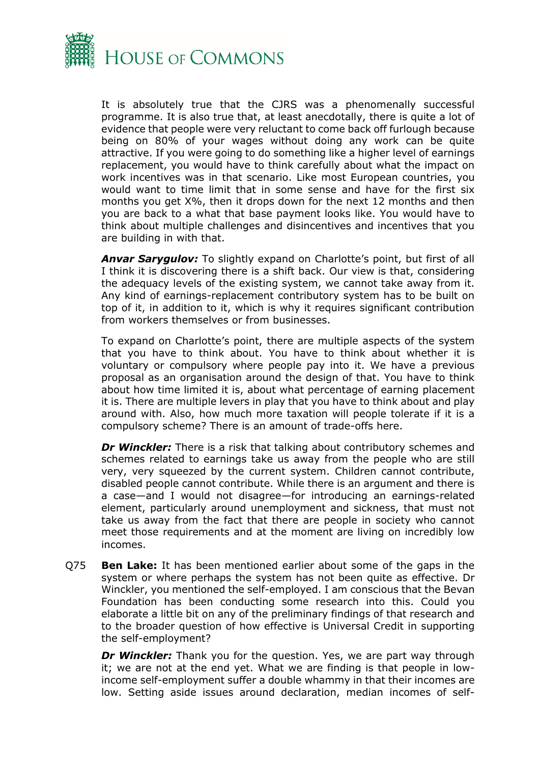

It is absolutely true that the CJRS was a phenomenally successful programme. It is also true that, at least anecdotally, there is quite a lot of evidence that people were very reluctant to come back off furlough because being on 80% of your wages without doing any work can be quite attractive. If you were going to do something like a higher level of earnings replacement, you would have to think carefully about what the impact on work incentives was in that scenario. Like most European countries, you would want to time limit that in some sense and have for the first six months you get X%, then it drops down for the next 12 months and then you are back to a what that base payment looks like. You would have to think about multiple challenges and disincentives and incentives that you are building in with that.

*Anvar Sarygulov:* To slightly expand on Charlotte's point, but first of all I think it is discovering there is a shift back. Our view is that, considering the adequacy levels of the existing system, we cannot take away from it. Any kind of earnings-replacement contributory system has to be built on top of it, in addition to it, which is why it requires significant contribution from workers themselves or from businesses.

To expand on Charlotte's point, there are multiple aspects of the system that you have to think about. You have to think about whether it is voluntary or compulsory where people pay into it. We have a previous proposal as an organisation around the design of that. You have to think about how time limited it is, about what percentage of earning placement it is. There are multiple levers in play that you have to think about and play around with. Also, how much more taxation will people tolerate if it is a compulsory scheme? There is an amount of trade-offs here.

*Dr Winckler:* There is a risk that talking about contributory schemes and schemes related to earnings take us away from the people who are still very, very squeezed by the current system. Children cannot contribute, disabled people cannot contribute. While there is an argument and there is a case—and I would not disagree—for introducing an earnings-related element, particularly around unemployment and sickness, that must not take us away from the fact that there are people in society who cannot meet those requirements and at the moment are living on incredibly low incomes.

Q75 **Ben Lake:** It has been mentioned earlier about some of the gaps in the system or where perhaps the system has not been quite as effective. Dr Winckler, you mentioned the self-employed. I am conscious that the Bevan Foundation has been conducting some research into this. Could you elaborate a little bit on any of the preliminary findings of that research and to the broader question of how effective is Universal Credit in supporting the self-employment?

*Dr Winckler:* Thank you for the question. Yes, we are part way through it; we are not at the end yet. What we are finding is that people in lowincome self-employment suffer a double whammy in that their incomes are low. Setting aside issues around declaration, median incomes of self-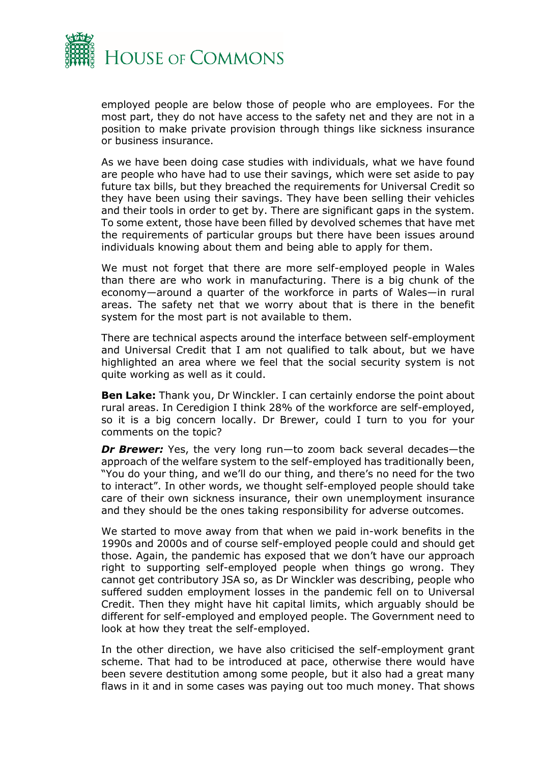

employed people are below those of people who are employees. For the most part, they do not have access to the safety net and they are not in a position to make private provision through things like sickness insurance or business insurance.

As we have been doing case studies with individuals, what we have found are people who have had to use their savings, which were set aside to pay future tax bills, but they breached the requirements for Universal Credit so they have been using their savings. They have been selling their vehicles and their tools in order to get by. There are significant gaps in the system. To some extent, those have been filled by devolved schemes that have met the requirements of particular groups but there have been issues around individuals knowing about them and being able to apply for them.

We must not forget that there are more self-employed people in Wales than there are who work in manufacturing. There is a big chunk of the economy—around a quarter of the workforce in parts of Wales—in rural areas. The safety net that we worry about that is there in the benefit system for the most part is not available to them.

There are technical aspects around the interface between self-employment and Universal Credit that I am not qualified to talk about, but we have highlighted an area where we feel that the social security system is not quite working as well as it could.

**Ben Lake:** Thank you, Dr Winckler. I can certainly endorse the point about rural areas. In Ceredigion I think 28% of the workforce are self-employed, so it is a big concern locally. Dr Brewer, could I turn to you for your comments on the topic?

*Dr Brewer:* Yes, the very long run—to zoom back several decades—the approach of the welfare system to the self-employed has traditionally been, "You do your thing, and we'll do our thing, and there's no need for the two to interact". In other words, we thought self-employed people should take care of their own sickness insurance, their own unemployment insurance and they should be the ones taking responsibility for adverse outcomes.

We started to move away from that when we paid in-work benefits in the 1990s and 2000s and of course self-employed people could and should get those. Again, the pandemic has exposed that we don't have our approach right to supporting self-employed people when things go wrong. They cannot get contributory JSA so, as Dr Winckler was describing, people who suffered sudden employment losses in the pandemic fell on to Universal Credit. Then they might have hit capital limits, which arguably should be different for self-employed and employed people. The Government need to look at how they treat the self-employed.

In the other direction, we have also criticised the self-employment grant scheme. That had to be introduced at pace, otherwise there would have been severe destitution among some people, but it also had a great many flaws in it and in some cases was paying out too much money. That shows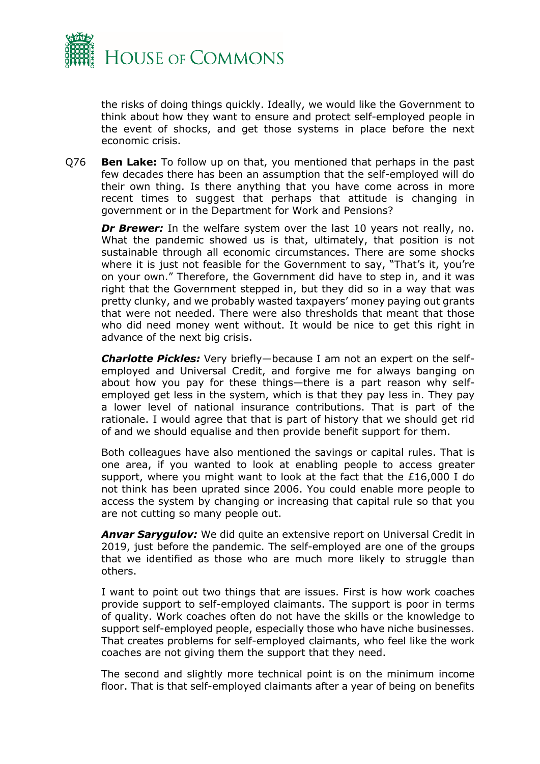

the risks of doing things quickly. Ideally, we would like the Government to think about how they want to ensure and protect self-employed people in the event of shocks, and get those systems in place before the next economic crisis.

Q76 **Ben Lake:** To follow up on that, you mentioned that perhaps in the past few decades there has been an assumption that the self-employed will do their own thing. Is there anything that you have come across in more recent times to suggest that perhaps that attitude is changing in government or in the Department for Work and Pensions?

*Dr Brewer:* In the welfare system over the last 10 years not really, no. What the pandemic showed us is that, ultimately, that position is not sustainable through all economic circumstances. There are some shocks where it is just not feasible for the Government to say, "That's it, you're on your own." Therefore, the Government did have to step in, and it was right that the Government stepped in, but they did so in a way that was pretty clunky, and we probably wasted taxpayers' money paying out grants that were not needed. There were also thresholds that meant that those who did need money went without. It would be nice to get this right in advance of the next big crisis.

*Charlotte Pickles:* Very briefly—because I am not an expert on the selfemployed and Universal Credit, and forgive me for always banging on about how you pay for these things—there is a part reason why selfemployed get less in the system, which is that they pay less in. They pay a lower level of national insurance contributions. That is part of the rationale. I would agree that that is part of history that we should get rid of and we should equalise and then provide benefit support for them.

Both colleagues have also mentioned the savings or capital rules. That is one area, if you wanted to look at enabling people to access greater support, where you might want to look at the fact that the £16,000 I do not think has been uprated since 2006. You could enable more people to access the system by changing or increasing that capital rule so that you are not cutting so many people out.

*Anvar Sarygulov:* We did quite an extensive report on Universal Credit in 2019, just before the pandemic. The self-employed are one of the groups that we identified as those who are much more likely to struggle than others.

I want to point out two things that are issues. First is how work coaches provide support to self-employed claimants. The support is poor in terms of quality. Work coaches often do not have the skills or the knowledge to support self-employed people, especially those who have niche businesses. That creates problems for self-employed claimants, who feel like the work coaches are not giving them the support that they need.

The second and slightly more technical point is on the minimum income floor. That is that self-employed claimants after a year of being on benefits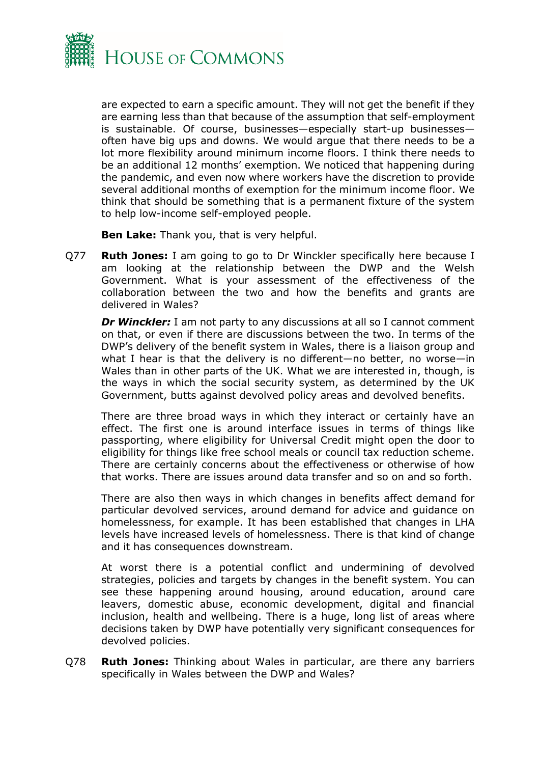

are expected to earn a specific amount. They will not get the benefit if they are earning less than that because of the assumption that self-employment is sustainable. Of course, businesses—especially start-up businesses often have big ups and downs. We would argue that there needs to be a lot more flexibility around minimum income floors. I think there needs to be an additional 12 months' exemption. We noticed that happening during the pandemic, and even now where workers have the discretion to provide several additional months of exemption for the minimum income floor. We think that should be something that is a permanent fixture of the system to help low-income self-employed people.

**Ben Lake:** Thank you, that is very helpful.

Q77 **Ruth Jones:** I am going to go to Dr Winckler specifically here because I am looking at the relationship between the DWP and the Welsh Government. What is your assessment of the effectiveness of the collaboration between the two and how the benefits and grants are delivered in Wales?

**Dr Winckler:** I am not party to any discussions at all so I cannot comment on that, or even if there are discussions between the two. In terms of the DWP's delivery of the benefit system in Wales, there is a liaison group and what I hear is that the delivery is no different—no better, no worse—in Wales than in other parts of the UK. What we are interested in, though, is the ways in which the social security system, as determined by the UK Government, butts against devolved policy areas and devolved benefits.

There are three broad ways in which they interact or certainly have an effect. The first one is around interface issues in terms of things like passporting, where eligibility for Universal Credit might open the door to eligibility for things like free school meals or council tax reduction scheme. There are certainly concerns about the effectiveness or otherwise of how that works. There are issues around data transfer and so on and so forth.

There are also then ways in which changes in benefits affect demand for particular devolved services, around demand for advice and guidance on homelessness, for example. It has been established that changes in LHA levels have increased levels of homelessness. There is that kind of change and it has consequences downstream.

At worst there is a potential conflict and undermining of devolved strategies, policies and targets by changes in the benefit system. You can see these happening around housing, around education, around care leavers, domestic abuse, economic development, digital and financial inclusion, health and wellbeing. There is a huge, long list of areas where decisions taken by DWP have potentially very significant consequences for devolved policies.

Q78 **Ruth Jones:** Thinking about Wales in particular, are there any barriers specifically in Wales between the DWP and Wales?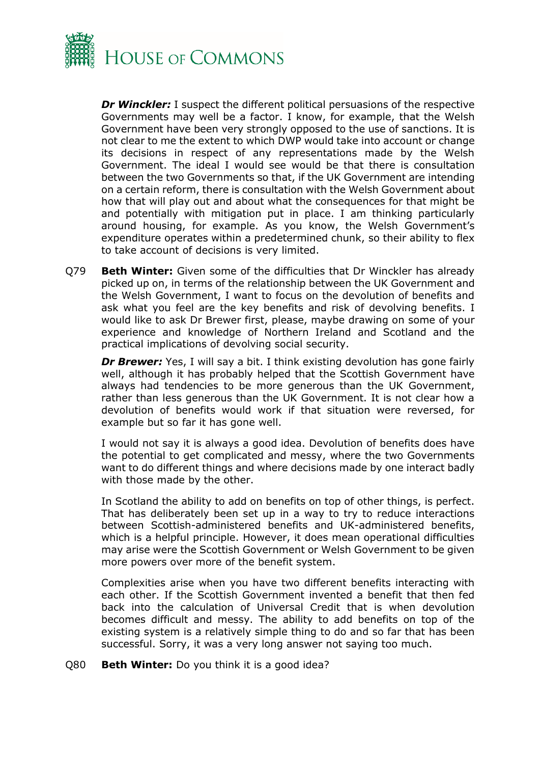

*Dr Winckler:* I suspect the different political persuasions of the respective Governments may well be a factor. I know, for example, that the Welsh Government have been very strongly opposed to the use of sanctions. It is not clear to me the extent to which DWP would take into account or change its decisions in respect of any representations made by the Welsh Government. The ideal I would see would be that there is consultation between the two Governments so that, if the UK Government are intending on a certain reform, there is consultation with the Welsh Government about how that will play out and about what the consequences for that might be and potentially with mitigation put in place. I am thinking particularly around housing, for example. As you know, the Welsh Government's expenditure operates within a predetermined chunk, so their ability to flex to take account of decisions is very limited.

Q79 **Beth Winter:** Given some of the difficulties that Dr Winckler has already picked up on, in terms of the relationship between the UK Government and the Welsh Government, I want to focus on the devolution of benefits and ask what you feel are the key benefits and risk of devolving benefits. I would like to ask Dr Brewer first, please, maybe drawing on some of your experience and knowledge of Northern Ireland and Scotland and the practical implications of devolving social security.

*Dr Brewer:* Yes, I will say a bit. I think existing devolution has gone fairly well, although it has probably helped that the Scottish Government have always had tendencies to be more generous than the UK Government, rather than less generous than the UK Government. It is not clear how a devolution of benefits would work if that situation were reversed, for example but so far it has gone well.

I would not say it is always a good idea. Devolution of benefits does have the potential to get complicated and messy, where the two Governments want to do different things and where decisions made by one interact badly with those made by the other.

In Scotland the ability to add on benefits on top of other things, is perfect. That has deliberately been set up in a way to try to reduce interactions between Scottish-administered benefits and UK-administered benefits, which is a helpful principle. However, it does mean operational difficulties may arise were the Scottish Government or Welsh Government to be given more powers over more of the benefit system.

Complexities arise when you have two different benefits interacting with each other. If the Scottish Government invented a benefit that then fed back into the calculation of Universal Credit that is when devolution becomes difficult and messy. The ability to add benefits on top of the existing system is a relatively simple thing to do and so far that has been successful. Sorry, it was a very long answer not saying too much.

Q80 **Beth Winter:** Do you think it is a good idea?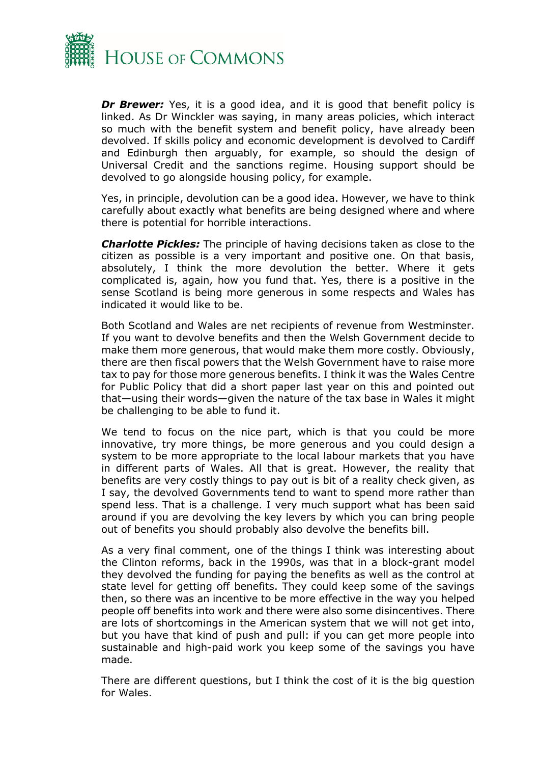

*Dr Brewer:* Yes, it is a good idea, and it is good that benefit policy is linked. As Dr Winckler was saying, in many areas policies, which interact so much with the benefit system and benefit policy, have already been devolved. If skills policy and economic development is devolved to Cardiff and Edinburgh then arguably, for example, so should the design of Universal Credit and the sanctions regime. Housing support should be devolved to go alongside housing policy, for example.

Yes, in principle, devolution can be a good idea. However, we have to think carefully about exactly what benefits are being designed where and where there is potential for horrible interactions.

*Charlotte Pickles:* The principle of having decisions taken as close to the citizen as possible is a very important and positive one. On that basis, absolutely, I think the more devolution the better. Where it gets complicated is, again, how you fund that. Yes, there is a positive in the sense Scotland is being more generous in some respects and Wales has indicated it would like to be.

Both Scotland and Wales are net recipients of revenue from Westminster. If you want to devolve benefits and then the Welsh Government decide to make them more generous, that would make them more costly. Obviously, there are then fiscal powers that the Welsh Government have to raise more tax to pay for those more generous benefits. I think it was the Wales Centre for Public Policy that did a short paper last year on this and pointed out that—using their words—given the nature of the tax base in Wales it might be challenging to be able to fund it.

We tend to focus on the nice part, which is that you could be more innovative, try more things, be more generous and you could design a system to be more appropriate to the local labour markets that you have in different parts of Wales. All that is great. However, the reality that benefits are very costly things to pay out is bit of a reality check given, as I say, the devolved Governments tend to want to spend more rather than spend less. That is a challenge. I very much support what has been said around if you are devolving the key levers by which you can bring people out of benefits you should probably also devolve the benefits bill.

As a very final comment, one of the things I think was interesting about the Clinton reforms, back in the 1990s, was that in a block-grant model they devolved the funding for paying the benefits as well as the control at state level for getting off benefits. They could keep some of the savings then, so there was an incentive to be more effective in the way you helped people off benefits into work and there were also some disincentives. There are lots of shortcomings in the American system that we will not get into, but you have that kind of push and pull: if you can get more people into sustainable and high-paid work you keep some of the savings you have made.

There are different questions, but I think the cost of it is the big question for Wales.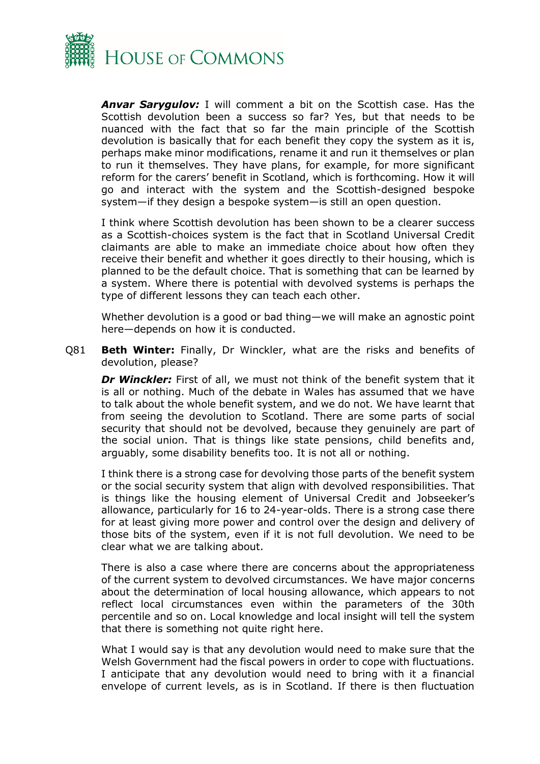

*Anvar Sarygulov:* I will comment a bit on the Scottish case. Has the Scottish devolution been a success so far? Yes, but that needs to be nuanced with the fact that so far the main principle of the Scottish devolution is basically that for each benefit they copy the system as it is, perhaps make minor modifications, rename it and run it themselves or plan to run it themselves. They have plans, for example, for more significant reform for the carers' benefit in Scotland, which is forthcoming. How it will go and interact with the system and the Scottish-designed bespoke system—if they design a bespoke system—is still an open question.

I think where Scottish devolution has been shown to be a clearer success as a Scottish-choices system is the fact that in Scotland Universal Credit claimants are able to make an immediate choice about how often they receive their benefit and whether it goes directly to their housing, which is planned to be the default choice. That is something that can be learned by a system. Where there is potential with devolved systems is perhaps the type of different lessons they can teach each other.

Whether devolution is a good or bad thing—we will make an agnostic point here—depends on how it is conducted.

Q81 **Beth Winter:** Finally, Dr Winckler, what are the risks and benefits of devolution, please?

**Dr Winckler:** First of all, we must not think of the benefit system that it is all or nothing. Much of the debate in Wales has assumed that we have to talk about the whole benefit system, and we do not. We have learnt that from seeing the devolution to Scotland. There are some parts of social security that should not be devolved, because they genuinely are part of the social union. That is things like state pensions, child benefits and, arguably, some disability benefits too. It is not all or nothing.

I think there is a strong case for devolving those parts of the benefit system or the social security system that align with devolved responsibilities. That is things like the housing element of Universal Credit and Jobseeker's allowance, particularly for 16 to 24-year-olds. There is a strong case there for at least giving more power and control over the design and delivery of those bits of the system, even if it is not full devolution. We need to be clear what we are talking about.

There is also a case where there are concerns about the appropriateness of the current system to devolved circumstances. We have major concerns about the determination of local housing allowance, which appears to not reflect local circumstances even within the parameters of the 30th percentile and so on. Local knowledge and local insight will tell the system that there is something not quite right here.

What I would say is that any devolution would need to make sure that the Welsh Government had the fiscal powers in order to cope with fluctuations. I anticipate that any devolution would need to bring with it a financial envelope of current levels, as is in Scotland. If there is then fluctuation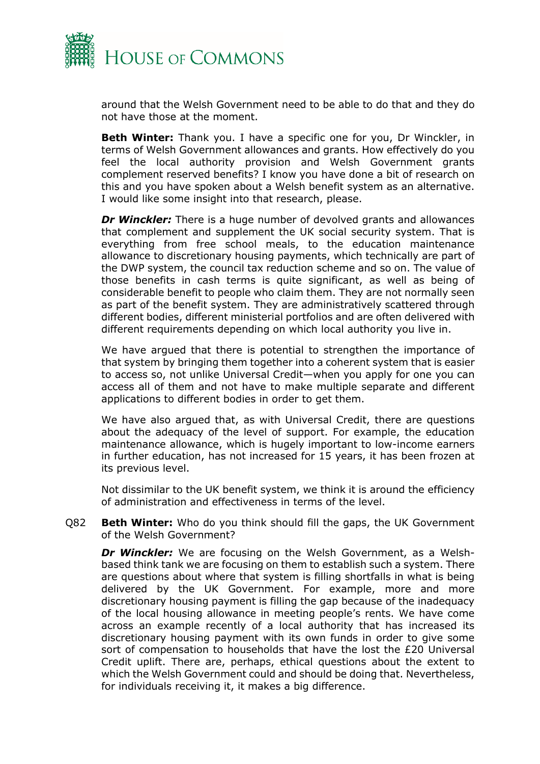

around that the Welsh Government need to be able to do that and they do not have those at the moment.

**Beth Winter:** Thank you. I have a specific one for you, Dr Winckler, in terms of Welsh Government allowances and grants. How effectively do you feel the local authority provision and Welsh Government grants complement reserved benefits? I know you have done a bit of research on this and you have spoken about a Welsh benefit system as an alternative. I would like some insight into that research, please.

*Dr Winckler:* There is a huge number of devolved grants and allowances that complement and supplement the UK social security system. That is everything from free school meals, to the education maintenance allowance to discretionary housing payments, which technically are part of the DWP system, the council tax reduction scheme and so on. The value of those benefits in cash terms is quite significant, as well as being of considerable benefit to people who claim them. They are not normally seen as part of the benefit system. They are administratively scattered through different bodies, different ministerial portfolios and are often delivered with different requirements depending on which local authority you live in.

We have argued that there is potential to strengthen the importance of that system by bringing them together into a coherent system that is easier to access so, not unlike Universal Credit—when you apply for one you can access all of them and not have to make multiple separate and different applications to different bodies in order to get them.

We have also argued that, as with Universal Credit, there are questions about the adequacy of the level of support. For example, the education maintenance allowance, which is hugely important to low-income earners in further education, has not increased for 15 years, it has been frozen at its previous level.

Not dissimilar to the UK benefit system, we think it is around the efficiency of administration and effectiveness in terms of the level.

Q82 **Beth Winter:** Who do you think should fill the gaps, the UK Government of the Welsh Government?

*Dr Winckler:* We are focusing on the Welsh Government, as a Welshbased think tank we are focusing on them to establish such a system. There are questions about where that system is filling shortfalls in what is being delivered by the UK Government. For example, more and more discretionary housing payment is filling the gap because of the inadequacy of the local housing allowance in meeting people's rents. We have come across an example recently of a local authority that has increased its discretionary housing payment with its own funds in order to give some sort of compensation to households that have the lost the £20 Universal Credit uplift. There are, perhaps, ethical questions about the extent to which the Welsh Government could and should be doing that. Nevertheless, for individuals receiving it, it makes a big difference.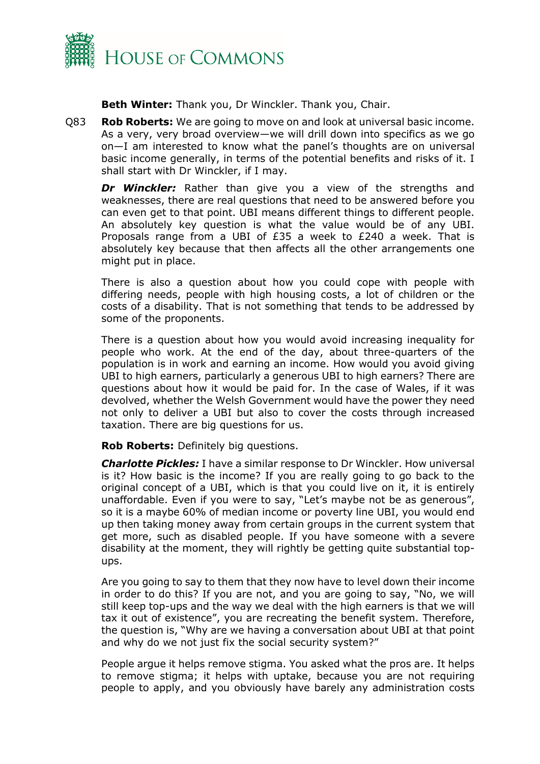

**Beth Winter:** Thank you, Dr Winckler. Thank you, Chair.

Q83 **Rob Roberts:** We are going to move on and look at universal basic income. As a very, very broad overview—we will drill down into specifics as we go on—I am interested to know what the panel's thoughts are on universal basic income generally, in terms of the potential benefits and risks of it. I shall start with Dr Winckler, if I may.

*Dr Winckler:* Rather than give you a view of the strengths and weaknesses, there are real questions that need to be answered before you can even get to that point. UBI means different things to different people. An absolutely key question is what the value would be of any UBI. Proposals range from a UBI of £35 a week to £240 a week. That is absolutely key because that then affects all the other arrangements one might put in place.

There is also a question about how you could cope with people with differing needs, people with high housing costs, a lot of children or the costs of a disability. That is not something that tends to be addressed by some of the proponents.

There is a question about how you would avoid increasing inequality for people who work. At the end of the day, about three-quarters of the population is in work and earning an income. How would you avoid giving UBI to high earners, particularly a generous UBI to high earners? There are questions about how it would be paid for. In the case of Wales, if it was devolved, whether the Welsh Government would have the power they need not only to deliver a UBI but also to cover the costs through increased taxation. There are big questions for us.

**Rob Roberts:** Definitely big questions.

*Charlotte Pickles:* I have a similar response to Dr Winckler. How universal is it? How basic is the income? If you are really going to go back to the original concept of a UBI, which is that you could live on it, it is entirely unaffordable. Even if you were to say, "Let's maybe not be as generous", so it is a maybe 60% of median income or poverty line UBI, you would end up then taking money away from certain groups in the current system that get more, such as disabled people. If you have someone with a severe disability at the moment, they will rightly be getting quite substantial topups.

Are you going to say to them that they now have to level down their income in order to do this? If you are not, and you are going to say, "No, we will still keep top-ups and the way we deal with the high earners is that we will tax it out of existence", you are recreating the benefit system. Therefore, the question is, "Why are we having a conversation about UBI at that point and why do we not just fix the social security system?"

People argue it helps remove stigma. You asked what the pros are. It helps to remove stigma; it helps with uptake, because you are not requiring people to apply, and you obviously have barely any administration costs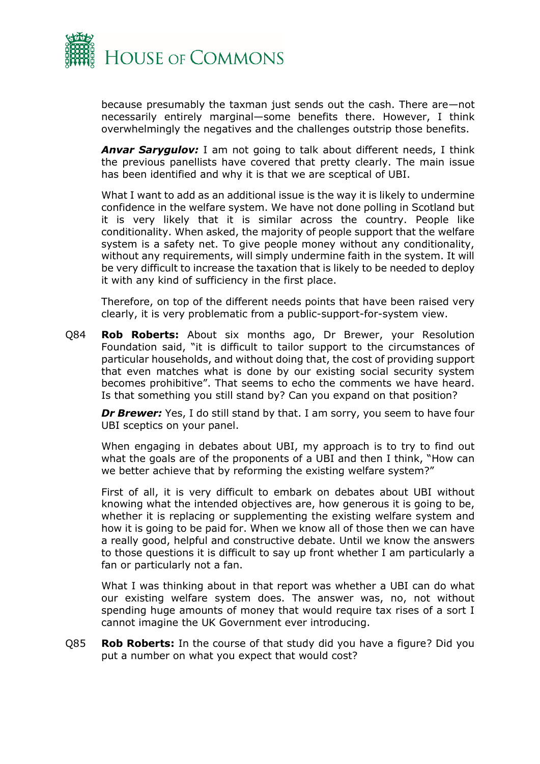

because presumably the taxman just sends out the cash. There are—not necessarily entirely marginal—some benefits there. However, I think overwhelmingly the negatives and the challenges outstrip those benefits.

*Anvar Sarygulov:* I am not going to talk about different needs, I think the previous panellists have covered that pretty clearly. The main issue has been identified and why it is that we are sceptical of UBI.

What I want to add as an additional issue is the way it is likely to undermine confidence in the welfare system. We have not done polling in Scotland but it is very likely that it is similar across the country. People like conditionality. When asked, the majority of people support that the welfare system is a safety net. To give people money without any conditionality, without any requirements, will simply undermine faith in the system. It will be very difficult to increase the taxation that is likely to be needed to deploy it with any kind of sufficiency in the first place.

Therefore, on top of the different needs points that have been raised very clearly, it is very problematic from a public-support-for-system view.

Q84 **Rob Roberts:** About six months ago, Dr Brewer, your Resolution Foundation said, "it is difficult to tailor support to the circumstances of particular households, and without doing that, the cost of providing support that even matches what is done by our existing social security system becomes prohibitive". That seems to echo the comments we have heard. Is that something you still stand by? Can you expand on that position?

**Dr Brewer:** Yes, I do still stand by that. I am sorry, you seem to have four UBI sceptics on your panel.

When engaging in debates about UBI, my approach is to try to find out what the goals are of the proponents of a UBI and then I think, "How can we better achieve that by reforming the existing welfare system?"

First of all, it is very difficult to embark on debates about UBI without knowing what the intended objectives are, how generous it is going to be, whether it is replacing or supplementing the existing welfare system and how it is going to be paid for. When we know all of those then we can have a really good, helpful and constructive debate. Until we know the answers to those questions it is difficult to say up front whether I am particularly a fan or particularly not a fan.

What I was thinking about in that report was whether a UBI can do what our existing welfare system does. The answer was, no, not without spending huge amounts of money that would require tax rises of a sort I cannot imagine the UK Government ever introducing.

Q85 **Rob Roberts:** In the course of that study did you have a figure? Did you put a number on what you expect that would cost?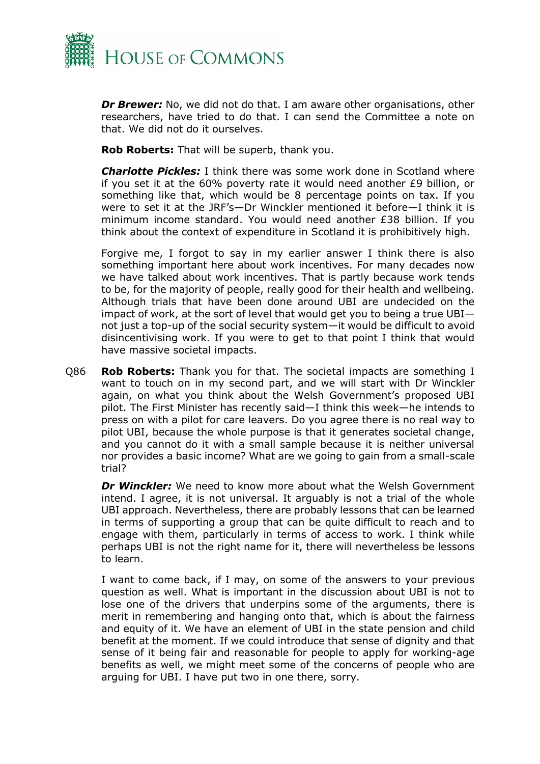

*Dr Brewer:* No, we did not do that. I am aware other organisations, other researchers, have tried to do that. I can send the Committee a note on that. We did not do it ourselves.

**Rob Roberts:** That will be superb, thank you.

*Charlotte Pickles:* I think there was some work done in Scotland where if you set it at the 60% poverty rate it would need another £9 billion, or something like that, which would be 8 percentage points on tax. If you were to set it at the JRF's—Dr Winckler mentioned it before—I think it is minimum income standard. You would need another £38 billion. If you think about the context of expenditure in Scotland it is prohibitively high.

Forgive me, I forgot to say in my earlier answer I think there is also something important here about work incentives. For many decades now we have talked about work incentives. That is partly because work tends to be, for the majority of people, really good for their health and wellbeing. Although trials that have been done around UBI are undecided on the impact of work, at the sort of level that would get you to being a true UBI not just a top-up of the social security system—it would be difficult to avoid disincentivising work. If you were to get to that point I think that would have massive societal impacts.

Q86 **Rob Roberts:** Thank you for that. The societal impacts are something I want to touch on in my second part, and we will start with Dr Winckler again, on what you think about the Welsh Government's proposed UBI pilot. The First Minister has recently said—I think this week—he intends to press on with a pilot for care leavers. Do you agree there is no real way to pilot UBI, because the whole purpose is that it generates societal change, and you cannot do it with a small sample because it is neither universal nor provides a basic income? What are we going to gain from a small-scale trial?

*Dr Winckler:* We need to know more about what the Welsh Government intend. I agree, it is not universal. It arguably is not a trial of the whole UBI approach. Nevertheless, there are probably lessons that can be learned in terms of supporting a group that can be quite difficult to reach and to engage with them, particularly in terms of access to work. I think while perhaps UBI is not the right name for it, there will nevertheless be lessons to learn.

I want to come back, if I may, on some of the answers to your previous question as well. What is important in the discussion about UBI is not to lose one of the drivers that underpins some of the arguments, there is merit in remembering and hanging onto that, which is about the fairness and equity of it. We have an element of UBI in the state pension and child benefit at the moment. If we could introduce that sense of dignity and that sense of it being fair and reasonable for people to apply for working-age benefits as well, we might meet some of the concerns of people who are arguing for UBI. I have put two in one there, sorry.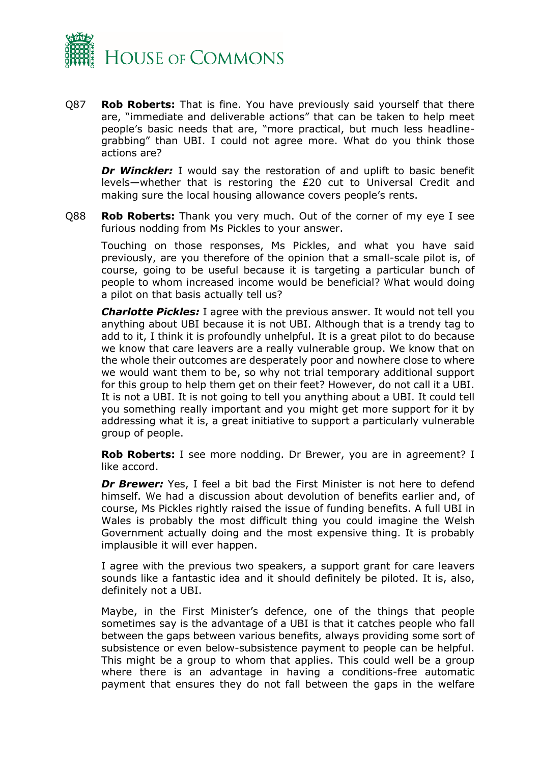

Q87 **Rob Roberts:** That is fine. You have previously said yourself that there are, "immediate and deliverable actions" that can be taken to help meet people's basic needs that are, "more practical, but much less headlinegrabbing" than UBI. I could not agree more. What do you think those actions are?

**Dr Winckler:** I would say the restoration of and uplift to basic benefit levels—whether that is restoring the £20 cut to Universal Credit and making sure the local housing allowance covers people's rents.

Q88 **Rob Roberts:** Thank you very much. Out of the corner of my eye I see furious nodding from Ms Pickles to your answer.

Touching on those responses, Ms Pickles, and what you have said previously, are you therefore of the opinion that a small-scale pilot is, of course, going to be useful because it is targeting a particular bunch of people to whom increased income would be beneficial? What would doing a pilot on that basis actually tell us?

*Charlotte Pickles:* I agree with the previous answer. It would not tell you anything about UBI because it is not UBI. Although that is a trendy tag to add to it, I think it is profoundly unhelpful. It is a great pilot to do because we know that care leavers are a really vulnerable group. We know that on the whole their outcomes are desperately poor and nowhere close to where we would want them to be, so why not trial temporary additional support for this group to help them get on their feet? However, do not call it a UBI. It is not a UBI. It is not going to tell you anything about a UBI. It could tell you something really important and you might get more support for it by addressing what it is, a great initiative to support a particularly vulnerable group of people.

**Rob Roberts:** I see more nodding. Dr Brewer, you are in agreement? I like accord.

*Dr Brewer:* Yes, I feel a bit bad the First Minister is not here to defend himself. We had a discussion about devolution of benefits earlier and, of course, Ms Pickles rightly raised the issue of funding benefits. A full UBI in Wales is probably the most difficult thing you could imagine the Welsh Government actually doing and the most expensive thing. It is probably implausible it will ever happen.

I agree with the previous two speakers, a support grant for care leavers sounds like a fantastic idea and it should definitely be piloted. It is, also, definitely not a UBI.

Maybe, in the First Minister's defence, one of the things that people sometimes say is the advantage of a UBI is that it catches people who fall between the gaps between various benefits, always providing some sort of subsistence or even below-subsistence payment to people can be helpful. This might be a group to whom that applies. This could well be a group where there is an advantage in having a conditions-free automatic payment that ensures they do not fall between the gaps in the welfare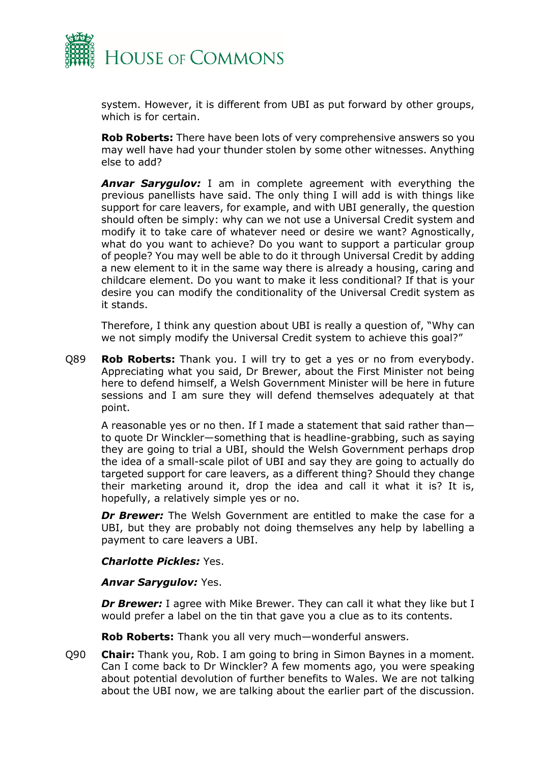

system. However, it is different from UBI as put forward by other groups, which is for certain.

**Rob Roberts:** There have been lots of very comprehensive answers so you may well have had your thunder stolen by some other witnesses. Anything else to add?

*Anvar Sarygulov:* I am in complete agreement with everything the previous panellists have said. The only thing I will add is with things like support for care leavers, for example, and with UBI generally, the question should often be simply: why can we not use a Universal Credit system and modify it to take care of whatever need or desire we want? Agnostically, what do you want to achieve? Do you want to support a particular group of people? You may well be able to do it through Universal Credit by adding a new element to it in the same way there is already a housing, caring and childcare element. Do you want to make it less conditional? If that is your desire you can modify the conditionality of the Universal Credit system as it stands.

Therefore, I think any question about UBI is really a question of, "Why can we not simply modify the Universal Credit system to achieve this goal?"

Q89 **Rob Roberts:** Thank you. I will try to get a yes or no from everybody. Appreciating what you said, Dr Brewer, about the First Minister not being here to defend himself, a Welsh Government Minister will be here in future sessions and I am sure they will defend themselves adequately at that point.

A reasonable yes or no then. If I made a statement that said rather than to quote Dr Winckler—something that is headline-grabbing, such as saying they are going to trial a UBI, should the Welsh Government perhaps drop the idea of a small-scale pilot of UBI and say they are going to actually do targeted support for care leavers, as a different thing? Should they change their marketing around it, drop the idea and call it what it is? It is, hopefully, a relatively simple yes or no.

**Dr Brewer:** The Welsh Government are entitled to make the case for a UBI, but they are probably not doing themselves any help by labelling a payment to care leavers a UBI.

### *Charlotte Pickles:* Yes.

### *Anvar Sarygulov:* Yes.

**Dr Brewer:** I agree with Mike Brewer. They can call it what they like but I would prefer a label on the tin that gave you a clue as to its contents.

**Rob Roberts:** Thank you all very much—wonderful answers.

Q90 **Chair:** Thank you, Rob. I am going to bring in Simon Baynes in a moment. Can I come back to Dr Winckler? A few moments ago, you were speaking about potential devolution of further benefits to Wales. We are not talking about the UBI now, we are talking about the earlier part of the discussion.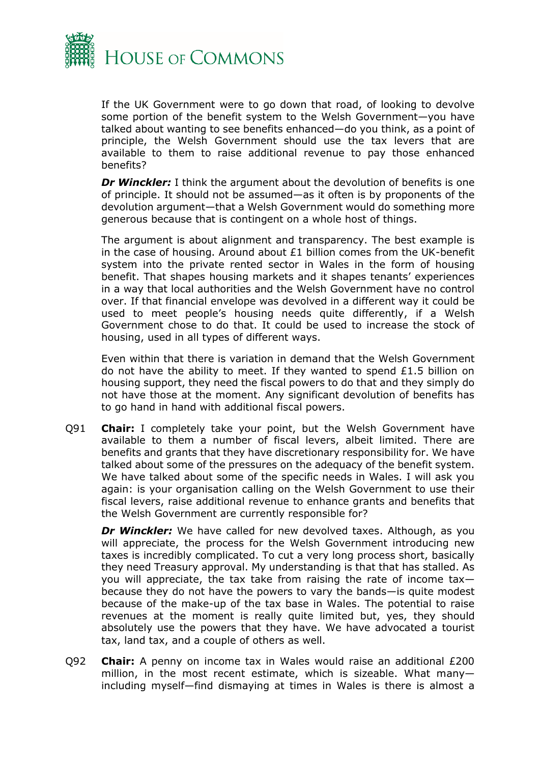

If the UK Government were to go down that road, of looking to devolve some portion of the benefit system to the Welsh Government—you have talked about wanting to see benefits enhanced—do you think, as a point of principle, the Welsh Government should use the tax levers that are available to them to raise additional revenue to pay those enhanced benefits?

**Dr Winckler:** I think the argument about the devolution of benefits is one of principle. It should not be assumed—as it often is by proponents of the devolution argument—that a Welsh Government would do something more generous because that is contingent on a whole host of things.

The argument is about alignment and transparency. The best example is in the case of housing. Around about £1 billion comes from the UK-benefit system into the private rented sector in Wales in the form of housing benefit. That shapes housing markets and it shapes tenants' experiences in a way that local authorities and the Welsh Government have no control over. If that financial envelope was devolved in a different way it could be used to meet people's housing needs quite differently, if a Welsh Government chose to do that. It could be used to increase the stock of housing, used in all types of different ways.

Even within that there is variation in demand that the Welsh Government do not have the ability to meet. If they wanted to spend £1.5 billion on housing support, they need the fiscal powers to do that and they simply do not have those at the moment. Any significant devolution of benefits has to go hand in hand with additional fiscal powers.

Q91 **Chair:** I completely take your point, but the Welsh Government have available to them a number of fiscal levers, albeit limited. There are benefits and grants that they have discretionary responsibility for. We have talked about some of the pressures on the adequacy of the benefit system. We have talked about some of the specific needs in Wales. I will ask you again: is your organisation calling on the Welsh Government to use their fiscal levers, raise additional revenue to enhance grants and benefits that the Welsh Government are currently responsible for?

*Dr Winckler:* We have called for new devolved taxes. Although, as you will appreciate, the process for the Welsh Government introducing new taxes is incredibly complicated. To cut a very long process short, basically they need Treasury approval. My understanding is that that has stalled. As you will appreciate, the tax take from raising the rate of income tax because they do not have the powers to vary the bands—is quite modest because of the make-up of the tax base in Wales. The potential to raise revenues at the moment is really quite limited but, yes, they should absolutely use the powers that they have. We have advocated a tourist tax, land tax, and a couple of others as well.

Q92 **Chair:** A penny on income tax in Wales would raise an additional £200 million, in the most recent estimate, which is sizeable. What many including myself—find dismaying at times in Wales is there is almost a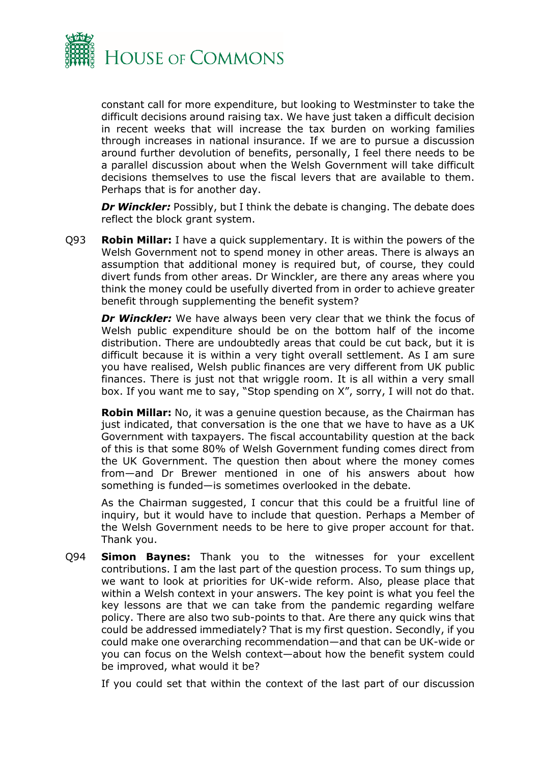

constant call for more expenditure, but looking to Westminster to take the difficult decisions around raising tax. We have just taken a difficult decision in recent weeks that will increase the tax burden on working families through increases in national insurance. If we are to pursue a discussion around further devolution of benefits, personally, I feel there needs to be a parallel discussion about when the Welsh Government will take difficult decisions themselves to use the fiscal levers that are available to them. Perhaps that is for another day.

*Dr Winckler:* Possibly, but I think the debate is changing. The debate does reflect the block grant system.

Q93 **Robin Millar:** I have a quick supplementary. It is within the powers of the Welsh Government not to spend money in other areas. There is always an assumption that additional money is required but, of course, they could divert funds from other areas. Dr Winckler, are there any areas where you think the money could be usefully diverted from in order to achieve greater benefit through supplementing the benefit system?

*Dr Winckler:* We have always been very clear that we think the focus of Welsh public expenditure should be on the bottom half of the income distribution. There are undoubtedly areas that could be cut back, but it is difficult because it is within a very tight overall settlement. As I am sure you have realised, Welsh public finances are very different from UK public finances. There is just not that wriggle room. It is all within a very small box. If you want me to say, "Stop spending on X", sorry, I will not do that.

**Robin Millar:** No, it was a genuine question because, as the Chairman has just indicated, that conversation is the one that we have to have as a UK Government with taxpayers. The fiscal accountability question at the back of this is that some 80% of Welsh Government funding comes direct from the UK Government. The question then about where the money comes from—and Dr Brewer mentioned in one of his answers about how something is funded—is sometimes overlooked in the debate.

As the Chairman suggested, I concur that this could be a fruitful line of inquiry, but it would have to include that question. Perhaps a Member of the Welsh Government needs to be here to give proper account for that. Thank you.

Q94 **Simon Baynes:** Thank you to the witnesses for your excellent contributions. I am the last part of the question process. To sum things up, we want to look at priorities for UK-wide reform. Also, please place that within a Welsh context in your answers. The key point is what you feel the key lessons are that we can take from the pandemic regarding welfare policy. There are also two sub-points to that. Are there any quick wins that could be addressed immediately? That is my first question. Secondly, if you could make one overarching recommendation—and that can be UK-wide or you can focus on the Welsh context—about how the benefit system could be improved, what would it be?

If you could set that within the context of the last part of our discussion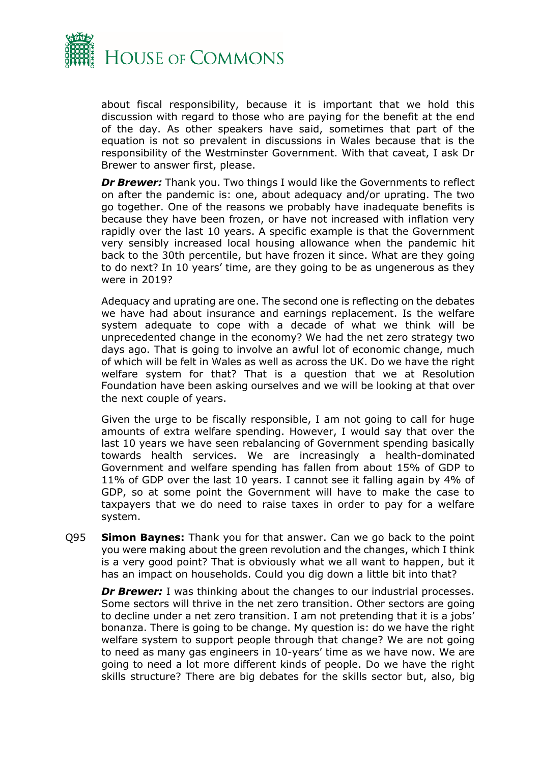

about fiscal responsibility, because it is important that we hold this discussion with regard to those who are paying for the benefit at the end of the day. As other speakers have said, sometimes that part of the equation is not so prevalent in discussions in Wales because that is the responsibility of the Westminster Government. With that caveat, I ask Dr Brewer to answer first, please.

**Dr Brewer:** Thank you. Two things I would like the Governments to reflect on after the pandemic is: one, about adequacy and/or uprating. The two go together. One of the reasons we probably have inadequate benefits is because they have been frozen, or have not increased with inflation very rapidly over the last 10 years. A specific example is that the Government very sensibly increased local housing allowance when the pandemic hit back to the 30th percentile, but have frozen it since. What are they going to do next? In 10 years' time, are they going to be as ungenerous as they were in 2019?

Adequacy and uprating are one. The second one is reflecting on the debates we have had about insurance and earnings replacement. Is the welfare system adequate to cope with a decade of what we think will be unprecedented change in the economy? We had the net zero strategy two days ago. That is going to involve an awful lot of economic change, much of which will be felt in Wales as well as across the UK. Do we have the right welfare system for that? That is a question that we at Resolution Foundation have been asking ourselves and we will be looking at that over the next couple of years.

Given the urge to be fiscally responsible, I am not going to call for huge amounts of extra welfare spending. However, I would say that over the last 10 years we have seen rebalancing of Government spending basically towards health services. We are increasingly a health-dominated Government and welfare spending has fallen from about 15% of GDP to 11% of GDP over the last 10 years. I cannot see it falling again by 4% of GDP, so at some point the Government will have to make the case to taxpayers that we do need to raise taxes in order to pay for a welfare system.

Q95 **Simon Baynes:** Thank you for that answer. Can we go back to the point you were making about the green revolution and the changes, which I think is a very good point? That is obviously what we all want to happen, but it has an impact on households. Could you dig down a little bit into that?

*Dr Brewer:* I was thinking about the changes to our industrial processes. Some sectors will thrive in the net zero transition. Other sectors are going to decline under a net zero transition. I am not pretending that it is a jobs' bonanza. There is going to be change. My question is: do we have the right welfare system to support people through that change? We are not going to need as many gas engineers in 10-years' time as we have now. We are going to need a lot more different kinds of people. Do we have the right skills structure? There are big debates for the skills sector but, also, big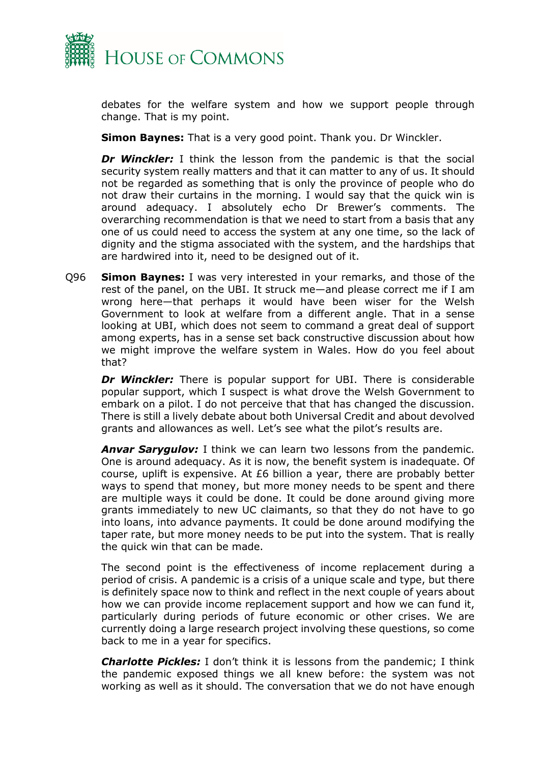

debates for the welfare system and how we support people through change. That is my point.

**Simon Baynes:** That is a very good point. Thank you. Dr Winckler.

**Dr Winckler:** I think the lesson from the pandemic is that the social security system really matters and that it can matter to any of us. It should not be regarded as something that is only the province of people who do not draw their curtains in the morning. I would say that the quick win is around adequacy. I absolutely echo Dr Brewer's comments. The overarching recommendation is that we need to start from a basis that any one of us could need to access the system at any one time, so the lack of dignity and the stigma associated with the system, and the hardships that are hardwired into it, need to be designed out of it.

Q96 **Simon Baynes:** I was very interested in your remarks, and those of the rest of the panel, on the UBI. It struck me—and please correct me if I am wrong here—that perhaps it would have been wiser for the Welsh Government to look at welfare from a different angle. That in a sense looking at UBI, which does not seem to command a great deal of support among experts, has in a sense set back constructive discussion about how we might improve the welfare system in Wales. How do you feel about that?

*Dr Winckler:* There is popular support for UBI. There is considerable popular support, which I suspect is what drove the Welsh Government to embark on a pilot. I do not perceive that that has changed the discussion. There is still a lively debate about both Universal Credit and about devolved grants and allowances as well. Let's see what the pilot's results are.

*Anvar Sarygulov:* I think we can learn two lessons from the pandemic. One is around adequacy. As it is now, the benefit system is inadequate. Of course, uplift is expensive. At  $E6$  billion a year, there are probably better ways to spend that money, but more money needs to be spent and there are multiple ways it could be done. It could be done around giving more grants immediately to new UC claimants, so that they do not have to go into loans, into advance payments. It could be done around modifying the taper rate, but more money needs to be put into the system. That is really the quick win that can be made.

The second point is the effectiveness of income replacement during a period of crisis. A pandemic is a crisis of a unique scale and type, but there is definitely space now to think and reflect in the next couple of years about how we can provide income replacement support and how we can fund it, particularly during periods of future economic or other crises. We are currently doing a large research project involving these questions, so come back to me in a year for specifics.

*Charlotte Pickles:* I don't think it is lessons from the pandemic; I think the pandemic exposed things we all knew before: the system was not working as well as it should. The conversation that we do not have enough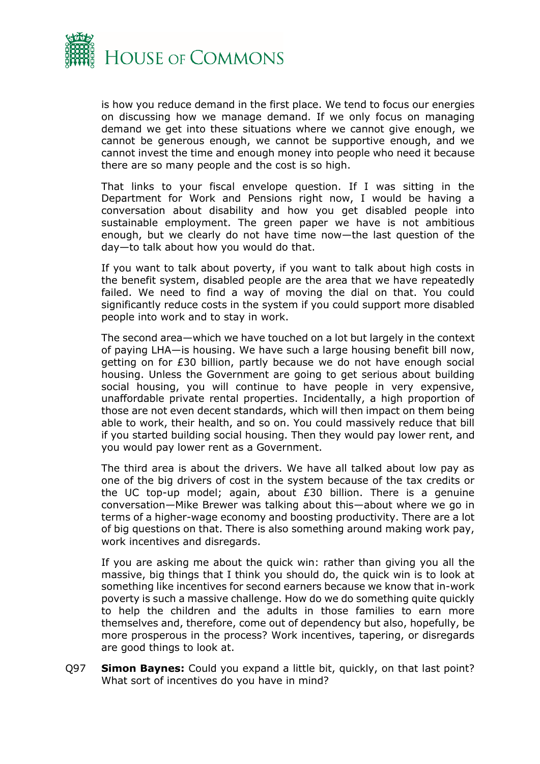

is how you reduce demand in the first place. We tend to focus our energies on discussing how we manage demand. If we only focus on managing demand we get into these situations where we cannot give enough, we cannot be generous enough, we cannot be supportive enough, and we cannot invest the time and enough money into people who need it because there are so many people and the cost is so high.

That links to your fiscal envelope question. If I was sitting in the Department for Work and Pensions right now, I would be having a conversation about disability and how you get disabled people into sustainable employment. The green paper we have is not ambitious enough, but we clearly do not have time now—the last question of the day—to talk about how you would do that.

If you want to talk about poverty, if you want to talk about high costs in the benefit system, disabled people are the area that we have repeatedly failed. We need to find a way of moving the dial on that. You could significantly reduce costs in the system if you could support more disabled people into work and to stay in work.

The second area—which we have touched on a lot but largely in the context of paying LHA—is housing. We have such a large housing benefit bill now, getting on for £30 billion, partly because we do not have enough social housing. Unless the Government are going to get serious about building social housing, you will continue to have people in very expensive, unaffordable private rental properties. Incidentally, a high proportion of those are not even decent standards, which will then impact on them being able to work, their health, and so on. You could massively reduce that bill if you started building social housing. Then they would pay lower rent, and you would pay lower rent as a Government.

The third area is about the drivers. We have all talked about low pay as one of the big drivers of cost in the system because of the tax credits or the UC top-up model; again, about £30 billion. There is a genuine conversation—Mike Brewer was talking about this—about where we go in terms of a higher-wage economy and boosting productivity. There are a lot of big questions on that. There is also something around making work pay, work incentives and disregards.

If you are asking me about the quick win: rather than giving you all the massive, big things that I think you should do, the quick win is to look at something like incentives for second earners because we know that in-work poverty is such a massive challenge. How do we do something quite quickly to help the children and the adults in those families to earn more themselves and, therefore, come out of dependency but also, hopefully, be more prosperous in the process? Work incentives, tapering, or disregards are good things to look at.

Q97 **Simon Baynes:** Could you expand a little bit, quickly, on that last point? What sort of incentives do you have in mind?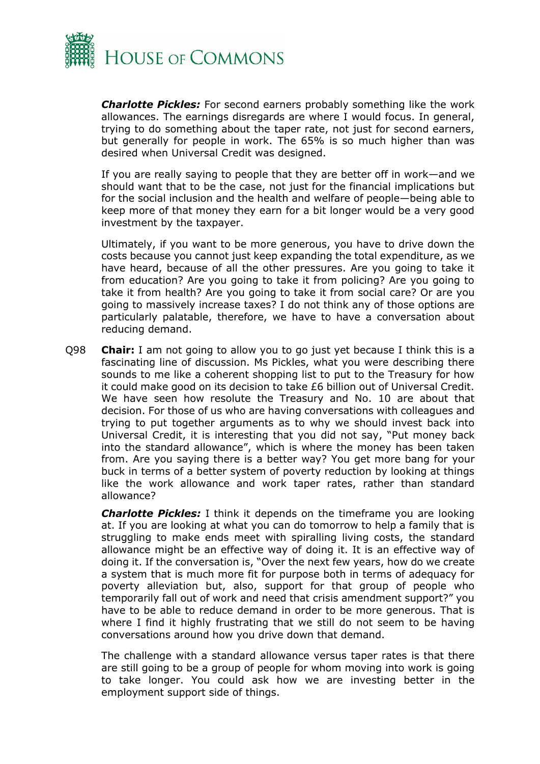

*Charlotte Pickles:* For second earners probably something like the work allowances. The earnings disregards are where I would focus. In general, trying to do something about the taper rate, not just for second earners, but generally for people in work. The 65% is so much higher than was desired when Universal Credit was designed.

If you are really saying to people that they are better off in work—and we should want that to be the case, not just for the financial implications but for the social inclusion and the health and welfare of people—being able to keep more of that money they earn for a bit longer would be a very good investment by the taxpayer.

Ultimately, if you want to be more generous, you have to drive down the costs because you cannot just keep expanding the total expenditure, as we have heard, because of all the other pressures. Are you going to take it from education? Are you going to take it from policing? Are you going to take it from health? Are you going to take it from social care? Or are you going to massively increase taxes? I do not think any of those options are particularly palatable, therefore, we have to have a conversation about reducing demand.

Q98 **Chair:** I am not going to allow you to go just yet because I think this is a fascinating line of discussion. Ms Pickles, what you were describing there sounds to me like a coherent shopping list to put to the Treasury for how it could make good on its decision to take £6 billion out of Universal Credit. We have seen how resolute the Treasury and No. 10 are about that decision. For those of us who are having conversations with colleagues and trying to put together arguments as to why we should invest back into Universal Credit, it is interesting that you did not say, "Put money back into the standard allowance", which is where the money has been taken from. Are you saying there is a better way? You get more bang for your buck in terms of a better system of poverty reduction by looking at things like the work allowance and work taper rates, rather than standard allowance?

*Charlotte Pickles:* I think it depends on the timeframe you are looking at. If you are looking at what you can do tomorrow to help a family that is struggling to make ends meet with spiralling living costs, the standard allowance might be an effective way of doing it. It is an effective way of doing it. If the conversation is, "Over the next few years, how do we create a system that is much more fit for purpose both in terms of adequacy for poverty alleviation but, also, support for that group of people who temporarily fall out of work and need that crisis amendment support?" you have to be able to reduce demand in order to be more generous. That is where I find it highly frustrating that we still do not seem to be having conversations around how you drive down that demand.

The challenge with a standard allowance versus taper rates is that there are still going to be a group of people for whom moving into work is going to take longer. You could ask how we are investing better in the employment support side of things.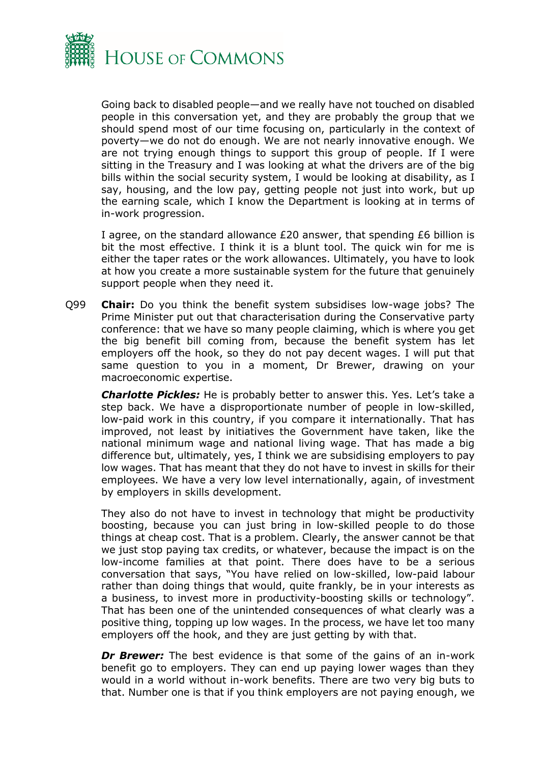

Going back to disabled people—and we really have not touched on disabled people in this conversation yet, and they are probably the group that we should spend most of our time focusing on, particularly in the context of poverty—we do not do enough. We are not nearly innovative enough. We are not trying enough things to support this group of people. If I were sitting in the Treasury and I was looking at what the drivers are of the big bills within the social security system, I would be looking at disability, as I say, housing, and the low pay, getting people not just into work, but up the earning scale, which I know the Department is looking at in terms of in-work progression.

I agree, on the standard allowance £20 answer, that spending £6 billion is bit the most effective. I think it is a blunt tool. The quick win for me is either the taper rates or the work allowances. Ultimately, you have to look at how you create a more sustainable system for the future that genuinely support people when they need it.

Q99 **Chair:** Do you think the benefit system subsidises low-wage jobs? The Prime Minister put out that characterisation during the Conservative party conference: that we have so many people claiming, which is where you get the big benefit bill coming from, because the benefit system has let employers off the hook, so they do not pay decent wages. I will put that same question to you in a moment, Dr Brewer, drawing on your macroeconomic expertise.

*Charlotte Pickles:* He is probably better to answer this. Yes. Let's take a step back. We have a disproportionate number of people in low-skilled, low-paid work in this country, if you compare it internationally. That has improved, not least by initiatives the Government have taken, like the national minimum wage and national living wage. That has made a big difference but, ultimately, yes, I think we are subsidising employers to pay low wages. That has meant that they do not have to invest in skills for their employees. We have a very low level internationally, again, of investment by employers in skills development.

They also do not have to invest in technology that might be productivity boosting, because you can just bring in low-skilled people to do those things at cheap cost. That is a problem. Clearly, the answer cannot be that we just stop paying tax credits, or whatever, because the impact is on the low-income families at that point. There does have to be a serious conversation that says, "You have relied on low-skilled, low-paid labour rather than doing things that would, quite frankly, be in your interests as a business, to invest more in productivity-boosting skills or technology". That has been one of the unintended consequences of what clearly was a positive thing, topping up low wages. In the process, we have let too many employers off the hook, and they are just getting by with that.

**Dr Brewer:** The best evidence is that some of the gains of an in-work benefit go to employers. They can end up paying lower wages than they would in a world without in-work benefits. There are two very big buts to that. Number one is that if you think employers are not paying enough, we